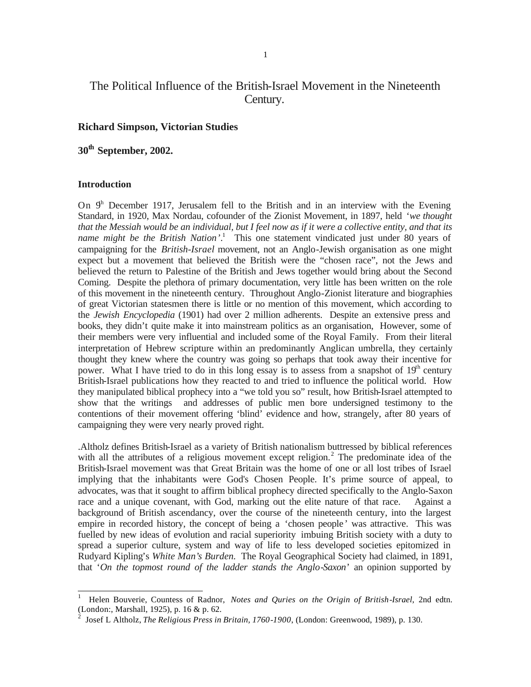# The Political Influence of the British-Israel Movement in the Nineteenth Century.

# **Richard Simpson, Victorian Studies**

# **30th September, 2002.**

## **Introduction**

l

On  $9<sup>h</sup>$  December 1917, Jerusalem fell to the British and in an interview with the Evening Standard, in 1920, Max Nordau, cofounder of the Zionist Movement, in 1897, held '*we thought that the Messiah would be an individual, but I feel now as if it were a collective entity, and that its name might be the British Nation'*. 1 This one statement vindicated just under 80 years of campaigning for the *British-Israel* movement, not an Anglo-Jewish organisation as one might expect but a movement that believed the British were the "chosen race", not the Jews and believed the return to Palestine of the British and Jews together would bring about the Second Coming. Despite the plethora of primary documentation, very little has been written on the role of this movement in the nineteenth century. Throughout Anglo-Zionist literature and biographies of great Victorian statesmen there is little or no mention of this movement, which according to the *Jewish Encyclopedia* (1901) had over 2 million adherents. Despite an extensive press and books, they didn't quite make it into mainstream politics as an organisation, However, some of their members were very influential and included some of the Royal Family. From their literal interpretation of Hebrew scripture within an predominantly Anglican umbrella, they certainly thought they knew where the country was going so perhaps that took away their incentive for power. What I have tried to do in this long essay is to assess from a snapshot of  $19<sup>th</sup>$  century British-Israel publications how they reacted to and tried to influence the political world. How they manipulated biblical prophecy into a "we told you so" result, how British-Israel attempted to show that the writings and addresses of public men bore undersigned testimony to the contentions of their movement offering 'blind' evidence and how, strangely, after 80 years of campaigning they were very nearly proved right.

.Altholz defines British-Israel as a variety of British nationalism buttressed by biblical references with all the attributes of a religious movement except religion.<sup>2</sup> The predominate idea of the British-Israel movement was that Great Britain was the home of one or all lost tribes of Israel implying that the inhabitants were God's Chosen People. It's prime source of appeal, to advocates, was that it sought to affirm biblical prophecy directed specifically to the Anglo-Saxon race and a unique covenant, with God, marking out the elite nature of that race. Against a background of British ascendancy, over the course of the nineteenth century, into the largest empire in recorded history, the concept of being a 'chosen people ' was attractive. This was fuelled by new ideas of evolution and racial superiority imbuing British society with a duty to spread a superior culture, system and way of life to less developed societies epitomized in Rudyard Kipling's *White Man's Burden.* The Royal Geographical Society had claimed, in 1891, that '*On the topmost round of the ladder stands the Anglo-Saxon*' an opinion supported by

<sup>1</sup> Helen Bouverie, Countess of Radnor, *Notes and Quries on the Origin of British-Israel*, 2nd edtn. (London:, Marshall, 1925), p. 16 & p. 62.

<sup>2</sup> Josef L Altholz, *The Religious Press in Britain, 1760-1900*, (London: Greenwood, 1989), p. 130.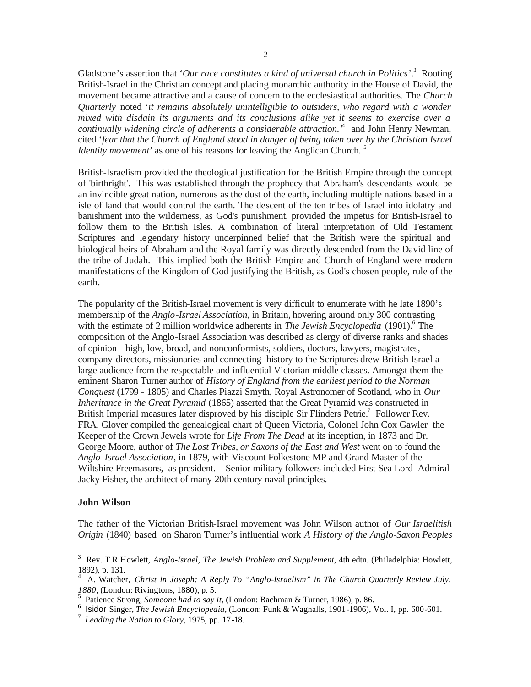Gladstone's assertion that '*Our race constitutes a kind of universal church in Politics*'.<sup>3</sup> Rooting British-Israel in the Christian concept and placing monarchic authority in the House of David, the movement became attractive and a cause of concern to the ecclesiastical authorities. The *Church Quarterly* noted '*it remains absolutely unintelligible to outsiders, who regard with a wonder mixed with disdain its arguments and its conclusions alike yet it seems to exercise over a continually widening circle of adherents a considerable attraction.'* 4 and John Henry Newman, cited '*fear that the Church of England stood in danger of being taken over by the Christian Israel Identity movement'* as one of his reasons for leaving the Anglican Church.<sup>5</sup>

British-Israelism provided the theological justification for the British Empire through the concept of 'birthright'. This was established through the prophecy that Abraham's descendants would be an invincible great nation, numerous as the dust of the earth, including multiple nations based in a isle of land that would control the earth. The descent of the ten tribes of Israel into idolatry and banishment into the wilderness, as God's punishment, provided the impetus for British-Israel to follow them to the British Isles. A combination of literal interpretation of Old Testament Scriptures and legendary history underpinned belief that the British were the spiritual and biological heirs of Abraham and the Royal family was directly descended from the David line of the tribe of Judah. This implied both the British Empire and Church of England were modern manifestations of the Kingdom of God justifying the British, as God's chosen people, rule of the earth.

The popularity of the British-Israel movement is very difficult to enumerate with he late 1890's membership of the *Anglo-Israel Association,* in Britain, hovering around only 300 contrasting with the estimate of 2 million worldwide adherents in *The Jewish Encyclopedia* (1901).<sup>6</sup> The composition of the Anglo-Israel Association was described as clergy of diverse ranks and shades of opinion - high, low, broad, and nonconformists, soldiers, doctors, lawyers, magistrates, company-directors, missionaries and connecting history to the Scriptures drew British-Israel a large audience from the respectable and influential Victorian middle classes. Amongst them the eminent Sharon Turner author of *History of England from the earliest period to the Norman Conquest* (1799 - 1805) and Charles Piazzi Smyth, Royal Astronomer of Scotland, who in *Our Inheritance in the Great Pyramid* (1865) asserted that the Great Pyramid was constructed in British Imperial measures later disproved by his disciple Sir Flinders Petrie.<sup>7</sup> Follower Rev. FRA. Glover compiled the genealogical chart of Queen Victoria, Colonel John Cox Gawler the Keeper of the Crown Jewels wrote for *Life From The Dead* at its inception, in 1873 and Dr. George Moore, author of *The Lost Tribes, or Saxons of the East and West* went on to found the *Anglo-Israel Association*, in 1879, with Viscount Folkestone MP and Grand Master of the Wiltshire Freemasons, as president. Senior military followers included First Sea Lord Admiral Jacky Fisher, the architect of many 20th century naval principles.

# **John Wilson**

The father of the Victorian British-Israel movement was John Wilson author of *Our Israelitish Origin* (1840) based on Sharon Turner's influential work *A History of the Anglo-Saxon Peoples* 

 3 Rev. T.R Howlett, *Anglo-Israel, The Jewish Problem and Supplement*, 4th edtn. (Philadelphia: Howlett, 1892), p. 131.

<sup>4</sup> A. Watcher, *Christ in Joseph: A Reply To "Anglo-Israelism" in The Church Quarterly Review July, 1880*, (London: Rivingtons, 1880), p. 5. 5 Patience Strong, *Someone had to say it*, (London: Bachman & Turner, 1986), p. 86.

<sup>6</sup> Isidor Singer, *The Jewish Encyclopedia,* (London: Funk & Wagnalls, 1901-1906), Vol. I, pp. 600-601.

<sup>7</sup> *Leading the Nation to Glory,* 1975, pp. 17-18.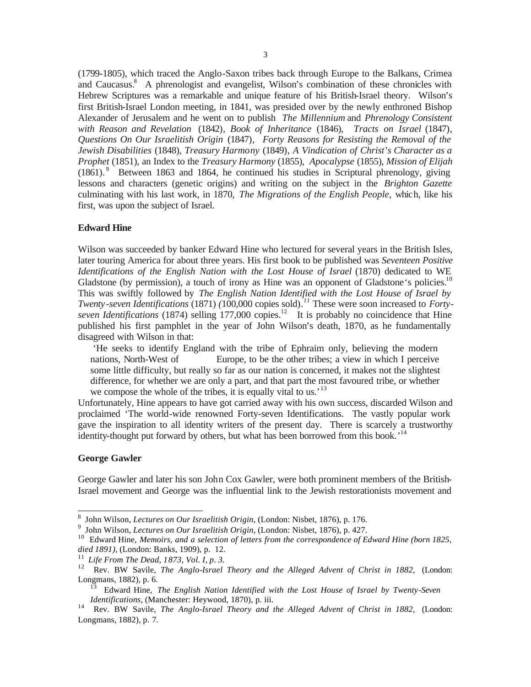(1799-1805), which traced the Anglo-Saxon tribes back through Europe to the Balkans, Crimea and Caucasus.<sup>8</sup> A phrenologist and evangelist, Wilson's combination of these chronicles with Hebrew Scriptures was a remarkable and unique feature of his British-Israel theory. Wilson's first British-Israel London meeting, in 1841, was presided over by the newly enthroned Bishop Alexander of Jerusalem and he went on to publish *The Millennium* and *Phrenology Consistent with Reason and Revelation* (1842)*, Book of Inheritance* (1846), *Tracts on Israel* (1847)*, Questions On Our Israelitish Origin* (1847)*, Forty Reasons for Resisting the Removal of the Jewish Disabilities* (1848), *Treasury Harmony* (1849)*, A Vindication of Christ's Character as a Prophet* (1851), an Index to the *Treasury Harmony* (1855), *Apocalypse* (1855), *Mission of Elijah* (1861). <sup>9</sup> Between 1863 and 1864, he continued his studies in Scriptural phrenology, giving lessons and characters (genetic origins) and writing on the subject in the *Brighton Gazette* culminating with his last work, in 1870, *The Migrations of the English People,* which, like his first, was upon the subject of Israel.

## **Edward Hine**

Wilson was succeeded by banker Edward Hine who lectured for several years in the British Isles, later touring America for about three years. His first book to be published was *Seventeen Positive Identifications of the English Nation with the Lost House of Israel* (1870) dedicated to WE Gladstone (by permission), a touch of irony as Hine was an opponent of Gladstone's policies.<sup>10</sup> This was swiftly followed by *The English Nation Identified with the Lost House of Israel by Twenty-seven Identifications* (1871) *(*100,000 copies sold)*. <sup>11</sup>* These were soon increased to *Forty*seven Identifications (1874) selling 177,000 copies.<sup>12</sup> It is probably no coincidence that Hine published his first pamphlet in the year of John Wilson's death, 1870, as he fundamentally disagreed with Wilson in that:

'He seeks to identify England with the tribe of Ephraim only, believing the modern nations, North-West of Europe, to be the other tribes; a view in which I perceive some little difficulty, but really so far as our nation is concerned, it makes not the slightest difference, for whether we are only a part, and that part the most favoured tribe, or whether we compose the whole of the tribes, it is equally vital to us.<sup>13</sup>

Unfortunately, Hine appears to have got carried away with his own success, discarded Wilson and proclaimed 'The world-wide renowned Forty-seven Identifications. The vastly popular work gave the inspiration to all identity writers of the present day. There is scarcely a trustworthy identity-thought put forward by others, but what has been borrowed from this book.<sup>14</sup>

## **George Gawler**

George Gawler and later his son John Cox Gawler, were both prominent members of the British-Israel movement and George was the influential link to the Jewish restorationists movement and

 8 John Wilson, *Lectures on Our Israelitish Origin*, (London: Nisbet, 1876), p. 176.

<sup>9</sup> John Wilson, *Lectures on Our Israelitish Origin*, (London: Nisbet, 1876), p. 427.

<sup>&</sup>lt;sup>10</sup> Edward Hine, *Memoirs, and a selection of letters from the correspondence of Edward Hine (born 1825, died 1891),* (London: Banks, 1909), p. 12.

<sup>11</sup> *Life From The Dead, 1873, Vol. I, p. 3.*

<sup>12</sup> Rev. BW Savile, *The Anglo-Israel Theory and the Alleged Advent of Christ in 1882*, (London: Longmans, 1882), p. 6.

<sup>13</sup> Edward Hine, *The English Nation Identified with the Lost House of Israel by Twenty-Seven Identifications,* (Manchester: Heywood, 1870), p. iii.

<sup>14</sup> Rev. BW Savile, *The Anglo-Israel Theory and the Alleged Advent of Christ in 1882*, (London: Longmans, 1882), p. 7.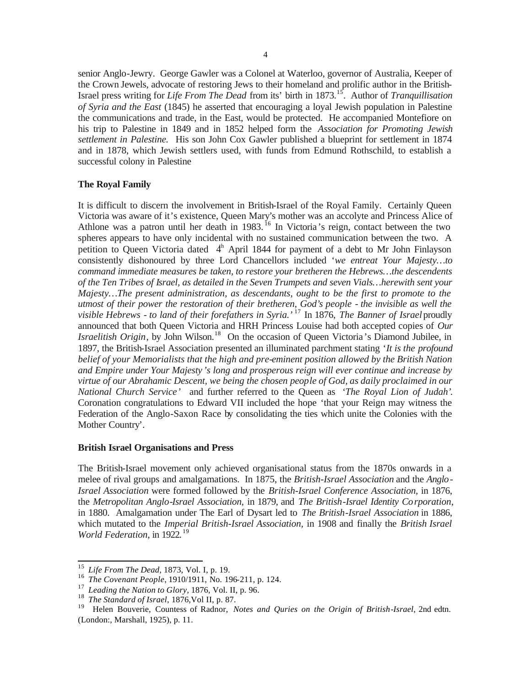senior Anglo-Jewry. George Gawler was a Colonel at Waterloo, governor of Australia, Keeper of the Crown Jewels, advocate of restoring Jews to their homeland and prolific author in the British-Israel press writing for *Life From The Dead* from its' birth in 1873.<sup>15</sup>. Author of *Tranquillisation of Syria and the East* (1845) he asserted that encouraging a loyal Jewish population in Palestine the communications and trade, in the East, would be protected. He accompanied Montefiore on his trip to Palestine in 1849 and in 1852 helped form the *Association for Promoting Jewish settlement in Palestine.* His son John Cox Gawler published a blueprint for settlement in 1874 and in 1878, which Jewish settlers used, with funds from Edmund Rothschild, to establish a successful colony in Palestine

# **The Royal Family**

It is difficult to discern the involvement in British-Israel of the Royal Family. Certainly Queen Victoria was aware of it's existence, Queen Mary's mother was an accolyte and Princess Alice of Athlone was a patron until her death in 1983.<sup>16</sup> In Victoria's reign, contact between the two spheres appears to have only incidental with no sustained communication between the two. A petition to Queen Victoria dated  $4<sup>h</sup>$  April 1844 for payment of a debt to Mr John Finlayson consistently dishonoured by three Lord Chancellors included '*we entreat Your Majesty…to command immediate measures be taken, to restore your bretheren the Hebrews…the descendents of the Ten Tribes of Israel, as detailed in the Seven Trumpets and seven Vials…herewith sent your Majesty…The present administration, as descendants, ought to be the first to promote to the utmost of their power the restoration of their bretheren, God's people - the invisible as well the visible Hebrews - to land of their forefathers in Syria.'* <sup>17</sup> In 1876, *The Banner of Israel* proudly announced that both Queen Victoria and HRH Princess Louise had both accepted copies of *Our Israelitish Origin*, by John Wilson.<sup>18</sup> On the occasion of Queen Victoria's Diamond Jubilee, in 1897, the British-Israel Association presented an illuminated parchment stating '*It is the profound belief of your Memorialists that the high and pre-eminent position allowed by the British Nation and Empire under Your Majesty 's long and prosperous reign will ever continue and increase by virtue of our Abrahamic Descent, we being the chosen people of God, as daily proclaimed in our National Church Service'* and further referred to the Queen as *'The Royal Lion of Judah'.*  Coronation congratulations to Edward VII included the hope 'that your Reign may witness the Federation of the Anglo-Saxon Race by consolidating the ties which unite the Colonies with the Mother Country'.

# **British Israel Organisations and Press**

The British-Israel movement only achieved organisational status from the 1870s onwards in a melee of rival groups and amalgamations. In 1875, the *British-Israel Association* and the *Anglo-Israel Association* were formed followed by the *British-Israel Conference Association,* in 1876, the *Metropolitan Anglo-Israel Association,* in 1879, and *The British-Israel Identity Corporation*, in 1880. Amalgamation under The Earl of Dysart led to *The British-Israel Association* in 1886, which mutated to the *Imperial British-Israel Association,* in 1908 and finally the *British Israel World Federation*, in 1922*.* 19

<sup>15</sup> *Life From The Dead,* 1873, Vol. I, p. 19.

<sup>16</sup> *The Covenant People*, 1910/1911, No. 196-211, p. 124.

<sup>17</sup> *Leading the Nation to Glory,* 1876, Vol. II, p. 96.

<sup>18</sup> *The Standard of Israel*, 1876,Vol II, p. 87.

<sup>19</sup> Helen Bouverie, Countess of Radnor, *Notes and Quries on the Origin of British-Israel*, 2nd edtn. (London:, Marshall, 1925), p. 11.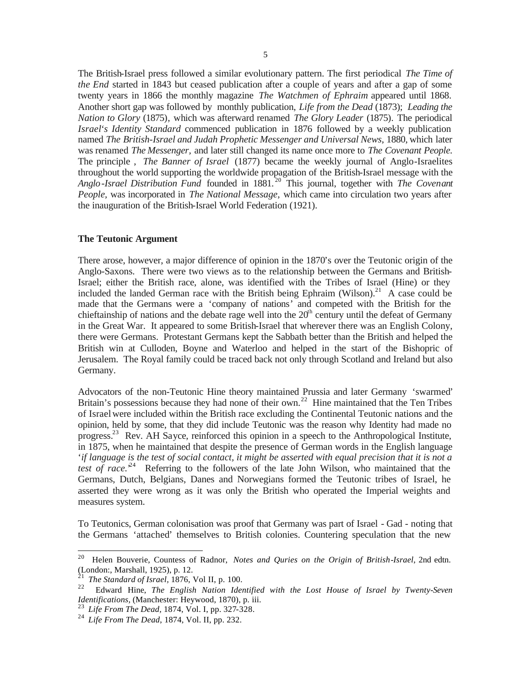The British-Israel press followed a similar evolutionary pattern. The first periodical *The Time of the End* started in 1843 but ceased publication after a couple of years and after a gap of some twenty years in 1866 the monthly magazine *The Watchmen of Ephraim* appeared until 1868. Another short gap was followed by monthly publication, *Life from the Dead* (1873); *Leading the Nation to Glory* (1875)*,* which was afterward renamed *The Glory Leader* (1875)*.* The periodical *Israel's Identity Standard* commenced publication in 1876 followed by a weekly publication named *The British-Israel and Judah Prophetic Messenger and Universal News*, 1880, which later was renamed *The Messenger,* and later still changed its name once more to *The Covenant People.* The principle , *The Banner of Israel* (1877) became the weekly journal of Anglo-Israelites throughout the world supporting the worldwide propagation of the British-Israel message with the *Anglo-Israel Distribution Fund* founded in 1881. <sup>20</sup> This journal, together with *The Covenant People,* was incorporated in *The National Message,* which came into circulation two years after the inauguration of the British-Israel World Federation (1921).

# **The Teutonic Argument**

There arose, however, a major difference of opinion in the 1870's over the Teutonic origin of the Anglo-Saxons. There were two views as to the relationship between the Germans and British-Israel; either the British race, alone, was identified with the Tribes of Israel (Hine) or they included the landed German race with the British being Ephraim (Wilson).<sup>21</sup> A case could be made that the Germans were a 'company of nations' and competed with the British for the chieftainship of nations and the debate rage well into the  $20<sup>th</sup>$  century until the defeat of Germany in the Great War. It appeared to some British-Israel that wherever there was an English Colony, there were Germans. Protestant Germans kept the Sabbath better than the British and helped the British win at Culloden, Boyne and Waterloo and helped in the start of the Bishopric of Jerusalem. The Royal family could be traced back not only through Scotland and Ireland but also Germany.

Advocators of the non-Teutonic Hine theory maintained Prussia and later Germany 'swarmed' Britain's possessions because they had none of their own.<sup>22</sup> Hine maintained that the Ten Tribes of Israel were included within the British race excluding the Continental Teutonic nations and the opinion, held by some, that they did include Teutonic was the reason why Identity had made no progress.<sup>23</sup> Rev. AH Sayce, reinforced this opinion in a speech to the Anthropological Institute, in 1875, when he maintained that despite the presence of German words in the English language '*if language is the test of social contact, it might be asserted with equal precision that it is not a*  test of race.<sup>24</sup> Referring to the followers of the late John Wilson, who maintained that the Germans, Dutch, Belgians, Danes and Norwegians formed the Teutonic tribes of Israel, he asserted they were wrong as it was only the British who operated the Imperial weights and measures system.

To Teutonics, German colonisation was proof that Germany was part of Israel - Gad - noting that the Germans 'attached' themselves to British colonies. Countering speculation that the new

<sup>20</sup> <sup>20</sup> Helen Bouverie, Countess of Radnor, *Notes and Quries on the Origin of British-Israel*, 2nd edtn. (London:, Marshall, 1925), p. 12.

<sup>&</sup>lt;sup>21</sup> *The Standard of Israel,* 1876, Vol II, p. 100.<br><sup>22</sup> Edward Hine *The English Nation Idea* 

<sup>22</sup> Edward Hine, *The English Nation Identified with the Lost House of Israel by Twenty-Seven Identifications,* (Manchester: Heywood, 1870), p. iii.

<sup>23</sup> *Life From The Dead,* 1874, Vol. I, pp. 327-328.

<sup>24</sup> *Life From The Dead*, 1874, Vol. II, pp. 232.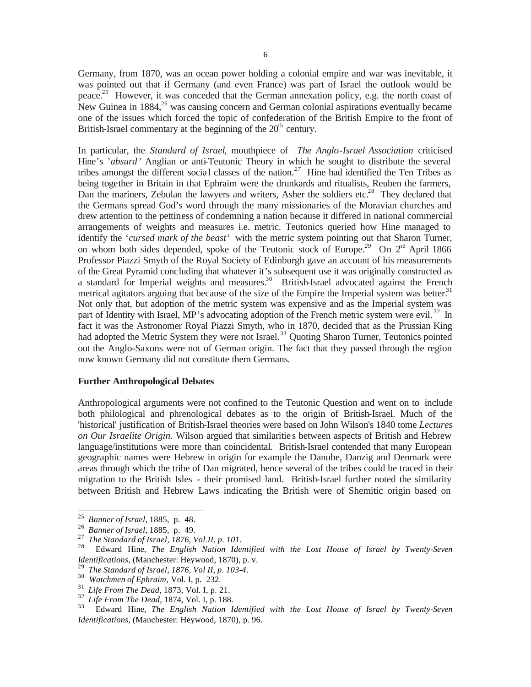Germany, from 1870, was an ocean power holding a colonial empire and war was inevitable, it was pointed out that if Germany (and even France) was part of Israel the outlook would be peace.<sup>25</sup> However, it was conceded that the German annexation policy, e.g. the north coast of New Guinea in  $1884<sup>26</sup>$  was causing concern and German colonial aspirations eventually became one of the issues which forced the topic of confederation of the British Empire to the front of British-Israel commentary at the beginning of the  $20<sup>th</sup>$  century.

In particular, the *Standard of Israel*, mouthpiece of *The Anglo-Israel Association* criticised Hine's '*absurd'* Anglian or anti-Teutonic Theory in which he sought to distribute the several tribes amongst the different social classes of the nation.<sup>27</sup> Hine had identified the Ten Tribes as being together in Britain in that Ephraim were the drunkards and ritualists, Reuben the farmers, Dan the mariners, Zebulan the lawyers and writers, Asher the soldiers etc.<sup>28</sup> They declared that the Germans spread God's word through the many missionaries of the Moravian churches and drew attention to the pettiness of condemning a nation because it differed in national commercial arrangements of weights and measures i.e. metric. Teutonics queried how Hine managed to identify the '*cursed mark of the beast'* with the metric system pointing out that Sharon Turner, on whom both sides depended, spoke of the Teutonic stock of Europe.<sup>29</sup> On  $2^{nd}$  April 1866 Professor Piazzi Smyth of the Royal Society of Edinburgh gave an account of his measurements of the Great Pyramid concluding that whatever it's subsequent use it was originally constructed as a standard for Imperial weights and measures.<sup>30</sup> British-Israel advocated against the French metrical agitators arguing that because of the size of the Empire the Imperial system was better.<sup>31</sup> Not only that, but adoption of the metric system was expensive and as the Imperial system was part of Identity with Israel, MP's advocating adoption of the French metric system were evil.<sup>32</sup> In fact it was the Astronomer Royal Piazzi Smyth, who in 1870, decided that as the Prussian King had adopted the Metric System they were not Israel.<sup>33</sup> Quoting Sharon Turner, Teutonics pointed out the Anglo-Saxons were not of German origin. The fact that they passed through the region now known Germany did not constitute them Germans.

# **Further Anthropological Debates**

Anthropological arguments were not confined to the Teutonic Question and went on to include both philological and phrenological debates as to the origin of British-Israel. Much of the 'historical' justification of British-Israel theories were based on John Wilson's 1840 tome *Lectures on Our Israelite Origin*. Wilson argued that similaritie s between aspects of British and Hebrew language/institutions were more than coincidental. British-Israel contended that many European geographic names were Hebrew in origin for example the Danube, Danzig and Denmark were areas through which the tribe of Dan migrated, hence several of the tribes could be traced in their migration to the British Isles - their promised land. British-Israel further noted the similarity between British and Hebrew Laws indicating the British were of Shemitic origin based on

<sup>25</sup> *Banner of Israel,* 1885, p. 48.

<sup>26</sup> *Banner of Israel,* 1885, p. 49.

<sup>27</sup> *The Standard of Israel, 1876, Vol.II, p. 101.*

<sup>28</sup> Edward Hine, *The English Nation Identified with the Lost House of Israel by Twenty-Seven Identifications,* (Manchester: Heywood, 1870), p. v.

<sup>29</sup> *The Standard of Israel, 1876, Vol II, p. 103-4.*

<sup>30</sup> *Watchmen of Ephraim,* Vol. I, p. 232.

<sup>31</sup> *Life From The Dead,* 1873, Vol. I, p. 21.

 $\frac{32}{33}$  *Life From The Dead*, 1874, Vol. I, p. 188.

<sup>33</sup> Edward Hine, *The English Nation Identified with the Lost House of Israel by Twenty-Seven Identifications,* (Manchester: Heywood, 1870), p. 96.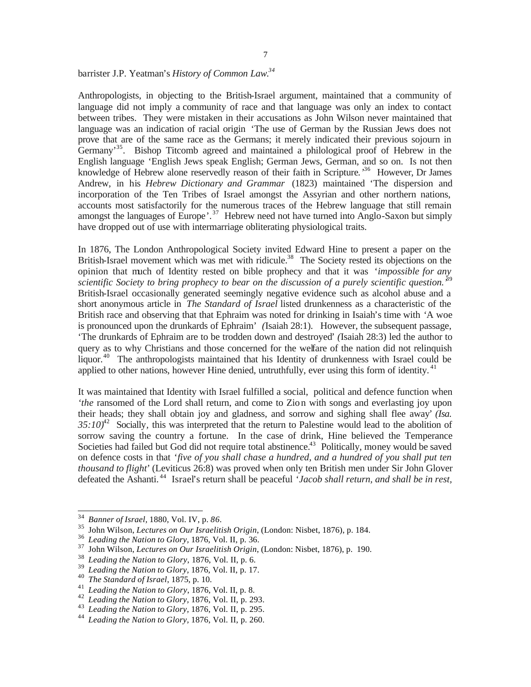Anthropologists, in objecting to the British-Israel argument, maintained that a community of language did not imply a community of race and that language was only an index to contact between tribes. They were mistaken in their accusations as John Wilson never maintained that language was an indication of racial origin 'The use of German by the Russian Jews does not prove that are of the same race as the Germans; it merely indicated their previous sojourn in Germany<sup>35</sup>. Bishop Titcomb agreed and maintained a philological proof of Hebrew in the English language 'English Jews speak English; German Jews, German, and so on. Is not then knowledge of Hebrew alone reservedly reason of their faith in Scripture.<sup>36</sup> However, Dr James Andrew, in his *Hebrew Dictionary and Grammar* (1823) maintained 'The dispersion and incorporation of the Ten Tribes of Israel amongst the Assyrian and other northern nations, accounts most satisfactorily for the numerous traces of the Hebrew language that still remain amongst the languages of Europe'.<sup>37</sup> Hebrew need not have turned into Anglo-Saxon but simply have dropped out of use with intermarriage obliterating physiological traits.

In 1876, The London Anthropological Society invited Edward Hine to present a paper on the British-Israel movement which was met with ridicule.<sup>38</sup> The Society rested its objections on the opinion that much of Identity rested on bible prophecy and that it was '*impossible for any scientific Society to bring prophecy to bear on the discussion of a purely scientific question.'* 39 British-Israel occasionally generated seemingly negative evidence such as alcohol abuse and a short anonymous article in *The Standard of Israel* listed drunkenness as a characteristic of the British race and observing that that Ephraim was noted for drinking in Isaiah's time with *'*A woe is pronounced upon the drunkards of Ephraim' *(*Isaiah 28:1). However, the subsequent passage, 'The drunkards of Ephraim are to be trodden down and destroyed' *(*Isaiah 28:3) led the author to query as to why Christians and those concerned for the welfare of the nation did not relinquish liquor.<sup>40</sup> The anthropologists maintained that his Identity of drunkenness with Israel could be applied to other nations, however Hine denied, untruthfully, ever using this form of identity.<sup>41</sup>

It was maintained that Identity with Israel fulfilled a social, political and defence function when *the* ransomed of the Lord shall return, and come to Zion with songs and everlasting joy upon their heads; they shall obtain joy and gladness, and sorrow and sighing shall flee away' *(Isa.*  35:10<sup>42</sup> Socially, this was interpreted that the return to Palestine would lead to the abolition of sorrow saving the country a fortune. In the case of drink, Hine believed the Temperance Societies had failed but God did not require total abstinence.<sup>43</sup> Politically, money would be saved on defence costs in that '*five of you shall chase a hundred, and a hundred of you shall put ten thousand to flight'* (Leviticus 26:8) was proved when only ten British men under Sir John Glover defeated the Ashanti.<sup>44</sup> Israel's return shall be peaceful '*Jacob shall return, and shall be in rest,* 

<sup>34</sup> *Banner of Israel,* 1880, Vol. IV, p. *86.*

<sup>35</sup> John Wilson, *Lectures on Our Israelitish Origin*, (London: Nisbet, 1876), p. 184.

<sup>36</sup> *Leading the Nation to Glory,* 1876, Vol. II, p. 36.

<sup>37</sup> John Wilson, *Lectures on Our Israelitish Origin*, (London: Nisbet, 1876), p. 190.

<sup>38</sup> *Leading the Nation to Glory*, 1876, Vol. II, p. 6.

<sup>39</sup> *Leading the Nation to Glory,* 1876, Vol. II, p. 17.

<sup>40</sup> *The Standard of Israel*, 1875, p. 10.

<sup>41</sup> *Leading the Nation to Glory*, 1876, Vol. II, p. 8.

<sup>42</sup> *Leading the Nation to Glory,* 1876, Vol. II, p. 293.

<sup>43</sup> *Leading the Nation to Glory,* 1876, Vol. II, p. 295.

<sup>44</sup> *Leading the Nation to Glory,* 1876, Vol. II, p. 260.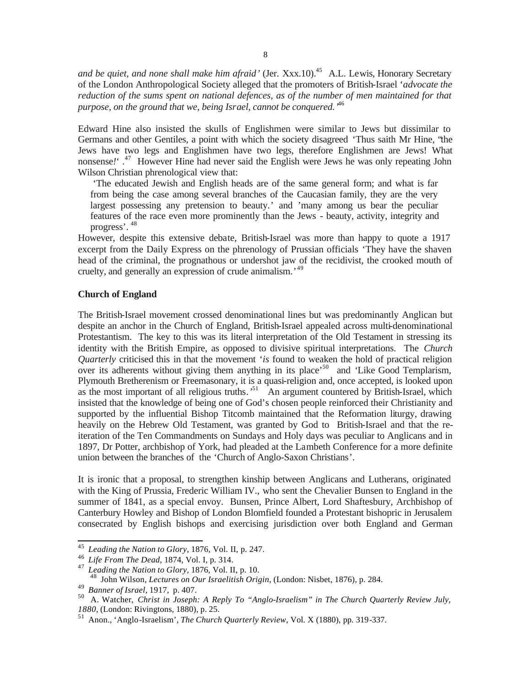and be quiet, and none shall make him afraid' (Jer. Xxx.10).<sup>45</sup> A.L. Lewis, Honorary Secretary of the London Anthropological Society alleged that the promoters of British-Israel '*advocate the reduction of the sums spent on national defences, as of the number of men maintained for that purpose, on the ground that we, being Israel, cannot be conquered.'* 46

Edward Hine also insisted the skulls of Englishmen were similar to Jews but dissimilar to Germans and other Gentiles, a point with which the society disagreed 'Thus saith Mr Hine, "the Jews have two legs and Englishmen have two legs, therefore Englishmen are Jews! What nonsense*!'* . <sup>47</sup> However Hine had never said the English were Jews he was only repeating John Wilson Christian phrenological view that:

'The educated Jewish and English heads are of the same general form; and what is far from being the case among several branches of the Caucasian family, they are the very largest possessing any pretension to beauty.' and 'many among us bear the peculiar features of the race even more prominently than the Jews - beauty, activity, integrity and progress'. 48

However, despite this extensive debate, British-Israel was more than happy to quote a 1917 excerpt from the Daily Express on the phrenology of Prussian officials 'They have the shaven head of the criminal, the prognathous or undershot jaw of the recidivist, the crooked mouth of cruelty, and generally an expression of crude animalism.' 49

#### **Church of England**

The British-Israel movement crossed denominational lines but was predominantly Anglican but despite an anchor in the Church of England, British-Israel appealed across multi-denominational Protestantism. The key to this was its literal interpretation of the Old Testament in stressing its identity with the British Empire, as opposed to divisive spiritual interpretations. The *Church Quarterly* criticised this in that the movement '*is* found to weaken the hold of practical religion over its adherents without giving them anything in its place<sup>50</sup> and 'Like Good Templarism, Plymouth Bretherenism or Freemasonary, it is a quasi-religion and, once accepted, is looked upon as the most important of all religious truths.<sup>51</sup> An argument countered by British-Israel, which insisted that the knowledge of being one of God's chosen people reinforced their Christianity and supported by the influential Bishop Titcomb maintained that the Reformation liturgy, drawing heavily on the Hebrew Old Testament, was granted by God to British-Israel and that the reiteration of the Ten Commandments on Sundays and Holy days was peculiar to Anglicans and in 1897, Dr Potter, archbishop of York, had pleaded at the Lambeth Conference for a more definite union between the branches of the 'Church of Anglo-Saxon Christians'.

It is ironic that a proposal, to strengthen kinship between Anglicans and Lutherans, originated with the King of Prussia, Frederic William IV., who sent the Chevalier Bunsen to England in the summer of 1841, as a special envoy. Bunsen, Prince Albert, Lord Shaftesbury, Archbishop of Canterbury Howley and Bishop of London Blomfield founded a Protestant bishopric in Jerusalem consecrated by English bishops and exercising jurisdiction over both England and German

<sup>45</sup> *Leading the Nation to Glory,* 1876, Vol. II, p. 247.

<sup>46</sup> *Life From The Dead*, 1874, Vol. I, p. 314.

<sup>47</sup> *Leading the Nation to Glory,* 1876, Vol. II, p. 10.

<sup>48</sup> John Wilson, *Lectures on Our Israelitish Origin*, (London: Nisbet, 1876), p. 284.

<sup>49</sup> *Banner of Israel,* 1917, p. 407.

<sup>50</sup> A. Watcher, *Christ in Joseph: A Reply To "Anglo-Israelism" in The Church Quarterly Review July, 1880*, (London: Rivingtons, 1880), p. 25.

<sup>51</sup> Anon., 'Anglo-Israelism', *The Church Quarterly Review*, Vol. X (1880), pp. 319-337.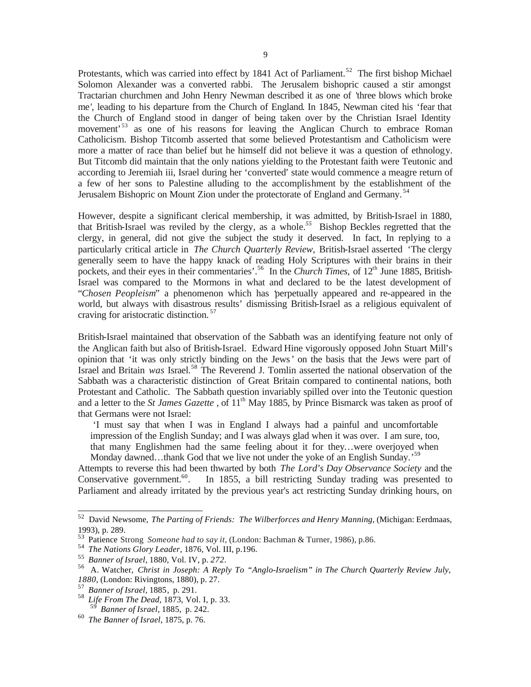Protestants, which was carried into effect by 1841 Act of Parliament.<sup>52</sup> The first bishop Michael Solomon Alexander was a converted rabbi. The Jerusalem bishopric caused a stir amongst Tractarian churchmen and John Henry Newman described it as one of *'*three blows which broke me*'*, leading to his departure from the Church of England. In 1845, Newman cited his 'fear that the Church of England stood in danger of being taken over by the Christian Israel Identity movement'<sup>53</sup> as one of his reasons for leaving the Anglican Church to embrace Roman Catholicism. Bishop Titcomb asserted that some believed Protestantism and Catholicism were more a matter of race than belief but he himself did not believe it was a question of ethnology. But Titcomb did maintain that the only nations yielding to the Protestant faith were Teutonic and according to Jeremiah iii, Israel during her 'converted' state would commence a meagre return of a few of her sons to Palestine alluding to the accomplishment by the establishment of the Jerusalem Bishopric on Mount Zion under the protectorate of England and Germany.<sup>54</sup>

However, despite a significant clerical membership, it was admitted, by British-Israel in 1880, that British-Israel was reviled by the clergy, as a whole.*<sup>55</sup>* Bishop Beckles regretted that the clergy, in general, did not give the subject the study it deserved. In fact, In replying to a particularly critical article in *The Church Quarterly Review,* British-Israel asserted 'The clergy generally seem to have the happy knack of reading Holy Scriptures with their brains in their pockets, and their eyes in their commentaries'.<sup>56</sup> In the *Church Times*, of 12<sup>th</sup> June 1885, British-Israel was compared to the Mormons in what and declared to be the latest development of "*Chosen Peopleism*" a phenomenon which has 'perpetually appeared and re-appeared in the world, but always with disastrous results' dismissing British-Israel as a religious equivalent of craving for aristocratic distinction. <sup>57</sup>

British-Israel maintained that observation of the Sabbath was an identifying feature not only of the Anglican faith but also of British-Israel. Edward Hine vigorously opposed John Stuart Mill's opinion that 'it was only strictly binding on the Jews*'* on the basis that the Jews were part of Israel and Britain *was* Israel.<sup>58</sup> The Reverend J. Tomlin asserted the national observation of the Sabbath was a characteristic distinction of Great Britain compared to continental nations, both Protestant and Catholic. The Sabbath question invariably spilled over into the Teutonic question and a letter to the *St James Gazette*, of 11<sup>th</sup> May 1885, by Prince Bismarck was taken as proof of that Germans were not Israel:

'I must say that when I was in England I always had a painful and uncomfortable impression of the English Sunday; and I was always glad when it was over. I am sure, too, that many Englishmen had the same feeling about it for they…were overjoyed when Monday dawned...thank God that we live not under the yoke of an English Sunday.<sup>59</sup>

Attempts to reverse this had been thwarted by both *The Lord's Day Observance Society* and the Conservative government.<sup>60</sup>. In 1855, a bill restricting Sunday trading was presented to Parliament and already irritated by the previous year's act restricting Sunday drinking hours, on

<sup>52</sup> David Newsome, *The Parting of Friends: The Wilberforces and Henry Manning*, (Michigan: Eerdmaas, 1993), p. 289.

<sup>53</sup> Patience Strong *Someone had to say it*, (London: Bachman & Turner, 1986), p.86.

<sup>54</sup> *The Nations Glory Leader*, 1876, Vol. III, p.196.

<sup>55</sup> *Banner of Israel,* 1880, Vol. IV, p. *272.*

<sup>56</sup> A. Watcher, *Christ in Joseph: A Reply To "Anglo-Israelism" in The Church Quarterly Review July, 1880*, (London: Rivingtons, 1880), p. 27.

<sup>57</sup> *Banner of Israel,* 1885, p. 291.

<sup>58</sup> *Life From The Dead,* 1873, Vol. I, p. 33.

<sup>59</sup> *Banner of Israel,* 1885, p. 242.

<sup>60</sup> *The Banner of Israel*, 1875, p. 76.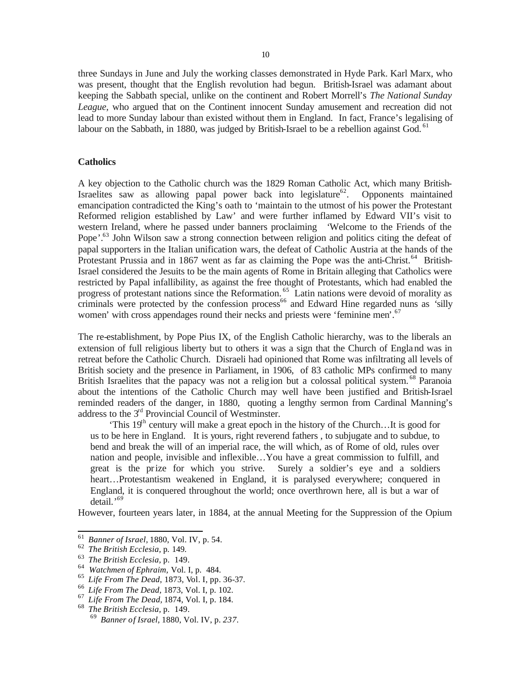three Sundays in June and July the working classes demonstrated in Hyde Park. Karl Marx, who was present, thought that the English revolution had begun. British-Israel was adamant about keeping the Sabbath special, unlike on the continent and Robert Morrell's *The National Sunday League,* who argued that on the Continent innocent Sunday amusement and recreation did not lead to more Sunday labour than existed without them in England.In fact, France's legalising of labour on the Sabbath, in 1880, was judged by British-Israel to be a rebellion against God.  $^{61}$ 

# **Catholics**

A key objection to the Catholic church was the 1829 Roman Catholic Act, which many British-Israelites saw as allowing papal power back into legislature<sup>62</sup>. Opponents maintained emancipation contradicted the King's oath to 'maintain to the utmost of his power the Protestant Reformed religion established by Law' and were further inflamed by Edward VII's visit to western Ireland, where he passed under banners proclaiming *'*Welcome to the Friends of the Pope'.<sup>63</sup> John Wilson saw a strong connection between religion and politics citing the defeat of papal supporters in the Italian unification wars, the defeat of Catholic Austria at the hands of the Protestant Prussia and in 1867 went as far as claiming the Pope was the anti-Christ.<sup>64</sup> British-Israel considered the Jesuits to be the main agents of Rome in Britain alleging that Catholics were restricted by Papal infallibility, as against the free thought of Protestants, which had enabled the progress of protestant nations since the Reformation.<sup>65</sup> Latin nations were devoid of morality as criminals were protected by the confession process<sup>66</sup> and Edward Hine regarded nuns as 'silly women' with cross appendages round their necks and priests were 'feminine men'. 67

The re-establishment, by Pope Pius IX, of the English Catholic hierarchy, was to the liberals an extension of full religious liberty but to others it was a sign that the Church of England was in retreat before the Catholic Church. Disraeli had opinioned that Rome was infiltrating all levels of British society and the presence in Parliament, in 1906, of 83 catholic MPs confirmed to many British Israelites that the papacy was not a religion but a colossal political system.<sup>68</sup> Paranoia about the intentions of the Catholic Church may well have been justified and British-Israel reminded readers of the danger, in 1880, quoting a lengthy sermon from Cardinal Manning's address to the 3rd Provincial Council of Westminster.

'This  $19<sup>th</sup>$  century will make a great epoch in the history of the Church...It is good for us to be here in England. It is yours, right reverend fathers , to subjugate and to subdue, to bend and break the will of an imperial race, the will which, as of Rome of old, rules over nation and people, invisible and inflexible…You have a great commission to fulfill, and great is the prize for which you strive. Surely a soldier's eye and a soldiers heart…Protestantism weakened in England, it is paralysed everywhere; conquered in England, it is conquered throughout the world; once overthrown here, all is but a war of detail.' *69*

However, fourteen years later, in 1884, at the annual Meeting for the Suppression of the Opium

<sup>61</sup> *Banner of Israel,* 1880, Vol. IV, p. 54.

<sup>62</sup> *The British Ecclesia,* p. 149.

<sup>63</sup> *The British Ecclesia,* p. 149.

<sup>64</sup> *Watchmen of Ephraim,* Vol. I, p. 484.

<sup>65</sup> *Life From The Dead*, 1873, Vol. I, pp. 36-37.

<sup>66</sup> *Life From The Dead,* 1873, Vol. I, p. 102.

<sup>67</sup> *Life From The Dead,* 1874, Vol. I, p. 184.

<sup>68</sup> *The British Ecclesia,* p. 149.

<sup>69</sup> *Banner of Israel,* 1880, Vol. IV, p. *237.*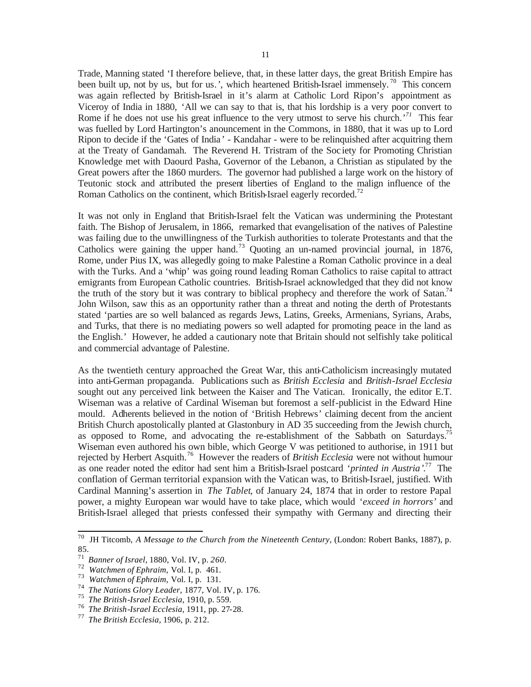Trade, Manning stated 'I therefore believe, that, in these latter days, the great British Empire has been built up, not by us, but for us.', which heartened British-Israel immensely.<sup>70</sup> This concern was again reflected by British-Israel in it's alarm at Catholic Lord Ripon's appointment as Viceroy of India in 1880, 'All we can say to that is, that his lordship is a very poor convert to Rome if he does not use his great influence to the very utmost to serve his church.<sup>71</sup> This fear was fuelled by Lord Hartington's anouncement in the Commons, in 1880, that it was up to Lord Ripon to decide if the 'Gates of India ' - Kandahar - were to be relinquished after acquitring them at the Treaty of Gandamah. The Reverend H. Tristram of the Soc iety for Promoting Christian Knowledge met with Daourd Pasha, Governor of the Lebanon, a Christian as stipulated by the Great powers after the 1860 murders. The governor had published a large work on the history of Teutonic stock and attributed the present liberties of England to the malign influence of the Roman Catholics on the continent, which British-Israel eagerly recorded.<sup>72</sup>

It was not only in England that British-Israel felt the Vatican was undermining the Protestant faith. The Bishop of Jerusalem, in 1866, remarked that evangelisation of the natives of Palestine was failing due to the unwillingness of the Turkish authorities to tolerate Protestants and that the Catholics were gaining the upper hand.<sup>73</sup> Quoting an un-named provincial journal, in 1876, Rome, under Pius IX, was allegedly going to make Palestine a Roman Catholic province in a deal with the Turks. And a 'whip' was going round leading Roman Catholics to raise capital to attract emigrants from European Catholic countries. British-Israel acknowledged that they did not know the truth of the story but it was contrary to biblical prophecy and therefore the work of Satan.<sup>74</sup> John Wilson, saw this as an opportunity rather than a threat and noting the derth of Protestants stated 'parties are so well balanced as regards Jews, Latins, Greeks, Armenians, Syrians, Arabs, and Turks, that there is no mediating powers so well adapted for promoting peace in the land as the English.' However, he added a cautionary note that Britain should not selfishly take political and commercial advantage of Palestine.

As the twentieth century approached the Great War, this anti-Catholicism increasingly mutated into anti-German propaganda. Publications such as *British Ecclesia* and *British-Israel Ecclesia*  sought out any perceived link between the Kaiser and The Vatican. Ironically, the editor E.T. Wiseman was a relative of Cardinal Wiseman but foremost a self-publicist in the Edward Hine mould. Adherents believed in the notion of 'British Hebrews' claiming decent from the ancient British Church apostolically planted at Glastonbury in AD 35 succeeding from the Jewish church, as opposed to Rome, and advocating the re-establishment of the Sabbath on Saturdays.<sup>75</sup> Wiseman even authored his own bible, which George V was petitioned to authorise, in 1911 but rejected by Herbert Asquith.<sup>76</sup> However the readers of *British Ecclesia* were not without humour as one reader noted the editor had sent him a British-Israel postcard '*printed in Austria'*. <sup>77</sup> The conflation of German territorial expansion with the Vatican was, to British-Israel, justified. With Cardinal Manning's assertion in *The Tablet*, of January 24, 1874 that in order to restore Papal power, a mighty European war would have to take place, which would '*exceed in horrors'* and British-Israel alleged that priests confessed their sympathy with Germany and directing their

<sup>70</sup> JH Titcomb, *A Message to the Church from the Nineteenth Century*, (London: Robert Banks, 1887), p. 85.

<sup>71</sup> *Banner of Israel,* 1880, Vol. IV, p. *260.*

<sup>72</sup> *Watchmen of Ephraim,* Vol. I, p. 461.

<sup>73</sup> *Watchmen of Ephraim,* Vol. I, p. 131.

<sup>74</sup> *The Nations Glory Leader*, 1877, Vol. IV, p. 176.

<sup>75</sup> *The British-Israel Ecclesia,* 1910, p. 559.

<sup>76</sup> *The British-Israel Ecclesia,* 1911, pp. 27-28.

<sup>77</sup> *The British Ecclesia,* 1906, p. 212.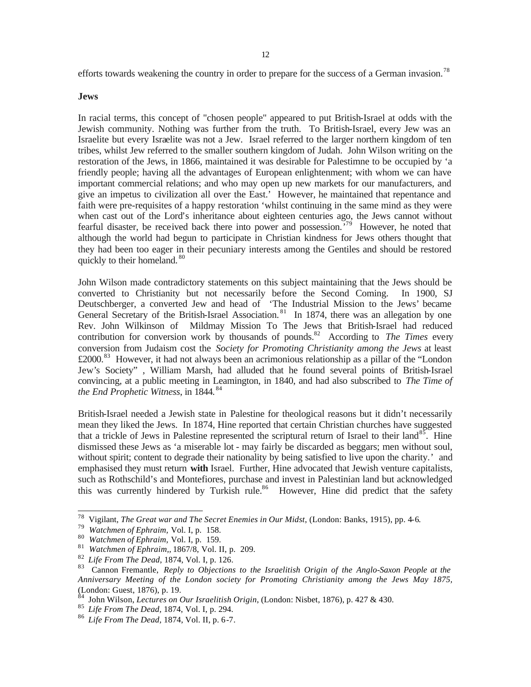efforts towards weakening the country in order to prepare for the success of a German invasion.<sup>78</sup>

#### **Jews**

In racial terms, this concept of "chosen people" appeared to put British-Israel at odds with the Jewish community. Nothing was further from the truth. To British-Israel, every Jew was an Israelite but every Israelite was not a Jew. Israel referred to the larger northern kingdom of ten tribes, whilst Jew referred to the smaller southern kingdom of Judah. John Wilson writing on the restoration of the Jews, in 1866, maintained it was desirable for Palestimne to be occupied by 'a friendly people; having all the advantages of European enlightenment; with whom we can have important commercial relations; and who may open up new markets for our manufacturers, and give an impetus to civilization all over the East.' However, he maintained that repentance and faith were pre-requisites of a happy restoration 'whilst continuing in the same mind as they were when cast out of the Lord's inheritance about eighteen centuries ago, the Jews cannot without fearful disaster, be received back there into power and possession.<sup>79</sup> However, he noted that although the world had begun to participate in Christian kindness for Jews others thought that they had been too eager in their pecuniary interests among the Gentiles and should be restored quickly to their homeland.<sup>80</sup>

John Wilson made contradictory statements on this subject maintaining that the Jews should be converted to Christianity but not necessarily before the Second Coming. In 1900, SJ Deutschberger, a converted Jew and head of 'The Industrial Mission to the Jews' became General Secretary of the British-Israel Association.<sup>81</sup> In 1874, there was an allegation by one Rev. John Wilkinson of Mildmay Mission To The Jews that British-Israel had reduced contribution for conversion work by thousands of pounds.<sup>82</sup> According to *The Times* every conversion from Judaism cost the *Society for Promoting Christianity among the Jews* at least  $\text{\pounds}2000$ .<sup>83</sup> However, it had not always been an acrimonious relationship as a pillar of the "London" Jew's Society" , William Marsh, had alluded that he found several points of British-Israel convincing, at a public meeting in Leamington, in 1840, and had also subscribed to *The Time of the End Prophetic Witness*, in 1844. <sup>84</sup>

British-Israel needed a Jewish state in Palestine for theological reasons but it didn't necessarily mean they liked the Jews. In 1874, Hine reported that certain Christian churches have suggested that a trickle of Jews in Palestine represented the scriptural return of Israel to their land<sup>85</sup>. Hine dismissed these Jews as 'a miserable lot - may fairly be discarded as beggars; men without soul, without spirit; content to degrade their nationality by being satisfied to live upon the charity.'and emphasised they must return **with** Israel. Further, Hine advocated that Jewish venture capitalists, such as Rothschild's and Montefiores, purchase and invest in Palestinian land but acknowledged this was currently hindered by Turkish rule.<sup>86</sup> However, Hine did predict that the safety

<sup>78</sup> Vigilant, *The Great war and The Secret Enemies in Our Midst*, (London: Banks, 1915), pp. 4-6.

<sup>79</sup> *Watchmen of Ephraim,* Vol. I, p. 158.

<sup>80</sup> *Watchmen of Ephraim,* Vol. I, p. 159.

<sup>81</sup> *Watchmen of Ephraim,,* 1867/8, Vol. II, p. 209.

<sup>82</sup> *Life From The Dead*, 1874, Vol. I, p. 126.

<sup>83</sup> Cannon Fremantle, *Reply to Objections to the Israelitish Origin of the Anglo-Saxon People at the Anniversary Meeting of the London society for Promoting Christianity among the Jews May 1875,* (London: Guest, 1876), p. 19.

<sup>84</sup> John Wilson, *Lectures on Our Israelitish Origin*, (London: Nisbet, 1876), p. 427 & 430.

<sup>85</sup> *Life From The Dead,* 1874, Vol. I, p. 294.

<sup>86</sup> *Life From The Dead,* 1874, Vol. II, p. 6-7.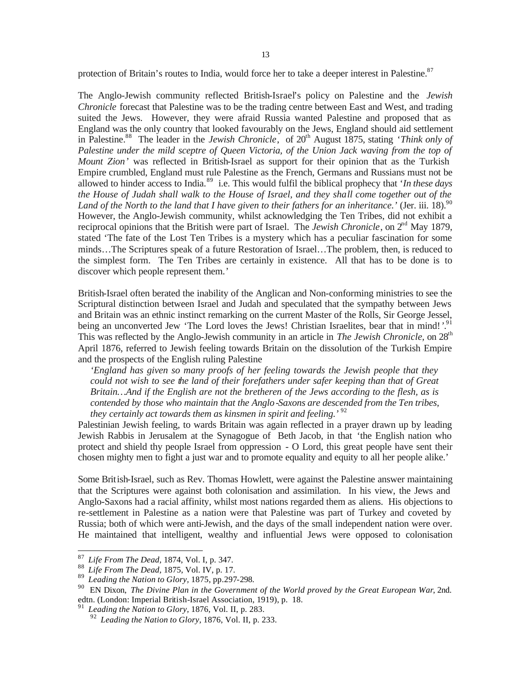protection of Britain's routes to India, would force her to take a deeper interest in Palestine.<sup>87</sup>

The Anglo-Jewish community reflected British-Israel's policy on Palestine and the *Jewish Chronicle* forecast that Palestine was to be the trading centre between East and West, and trading suited the Jews. However, they were afraid Russia wanted Palestine and proposed that as England was the only country that looked favourably on the Jews, England should aid settlement in Palestine.<sup>88</sup> The leader in the *Jewish Chronicle*, of 20<sup>th</sup> August 1875, stating *'Think only of Palestine under the mild sceptre of Queen Victoria, of the Union Jack waving from the top of Mount Zion'* was reflected in British-Israel as support for their opinion that as the Turkish Empire crumbled, England must rule Palestine as the French, Germans and Russians must not be allowed to hinder access to India.<sup>89</sup> i.e. This would fulfil the biblical prophecy that '*In these days the House of Judah shall walk to the House of Israel, and they shall come together out of the*  Land of the North to the land that I have given to their fathers for an inheritance.' (Jer. iii. 18).<sup>90</sup> However, the Anglo-Jewish community, whilst acknowledging the Ten Tribes, did not exhibit a reciprocal opinions that the British were part of Israel. The *Jewish Chronicle*, on 2<sup>nd</sup> May 1879, stated 'The fate of the Lost Ten Tribes is a mystery which has a peculiar fascination for some minds…The Scriptures speak of a future Restoration of Israel…The problem, then, is reduced to the simplest form. The Ten Tribes are certainly in existence. All that has to be done is to discover which people represent them.'

British-Israel often berated the inability of the Anglican and Non-conforming ministries to see the Scriptural distinction between Israel and Judah and speculated that the sympathy between Jews and Britain was an ethnic instinct remarking on the current Master of the Rolls, Sir George Jessel, being an unconverted Jew 'The Lord loves the Jews! Christian Israelites, bear that in mind!'.<sup>91</sup> This was reflected by the Anglo-Jewish community in an article in *The Jewish Chronicle,* on 28th April 1876, referred to Jewish feeling towards Britain on the dissolution of the Turkish Empire and the prospects of the English ruling Palestine

*'England has given so many proofs of her feeling towards the Jewish people that they could not wish to see the land of their forefathers under safer keeping than that of Great Britain…And if the English are not the bretheren of the Jews according to the flesh, as is contended by those who maintain that the Anglo-Saxons are descended from the Ten tribes, they certainly act towards them as kinsmen in spirit and feeling.'* 92

Palestinian Jewish feeling, to wards Britain was again reflected in a prayer drawn up by leading Jewish Rabbis in Jerusalem at the Synagogue of Beth Jacob, in that 'the English nation who protect and shield thy people Israel from oppression - O Lord, this great people have sent their chosen mighty men to fight a just war and to promote equality and equity to all her people alike.'

Some British-Israel, such as Rev. Thomas Howlett, were against the Palestine answer maintaining that the Scriptures were against both colonisation and assimilation. In his view, the Jews and Anglo-Saxons had a racial affinity, whilst most nations regarded them as aliens. His objections to re-settlement in Palestine as a nation were that Palestine was part of Turkey and coveted by Russia; both of which were anti-Jewish, and the days of the small independent nation were over. He maintained that intelligent, wealthy and influential Jews were opposed to colonisation

<sup>87</sup> *Life From The Dead,* 1874, Vol. I, p. 347.

<sup>88</sup> *Life From The Dead,* 1875, Vol. IV, p. 17.

<sup>89</sup> *Leading the Nation to Glory,* 1875, pp.297-298.

<sup>90</sup> EN Dixon, *The Divine Plan in the Government of the World proved by the Great European War*, 2nd. edtn. (London: Imperial British-Israel Association, 1919), p. 18.

<sup>91</sup> *Leading the Nation to Glory,* 1876, Vol. II, p. 283.

<sup>92</sup> *Leading the Nation to Glory,* 1876, Vol. II, p. 233.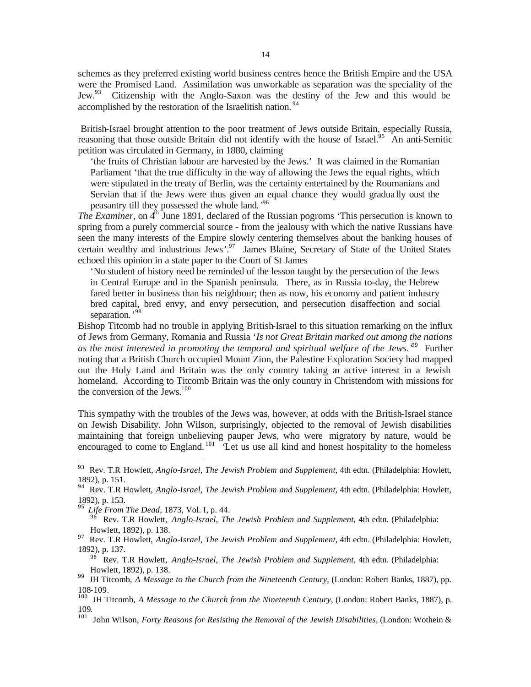schemes as they preferred existing world business centres hence the British Empire and the USA were the Promised Land. Assimilation was unworkable as separation was the speciality of the Jew.<sup>93</sup> Citizenship with the Anglo-Saxon was the destiny of the Jew and this would be accomplished by the restoration of the Israelitish nation.<sup>94</sup>

 British-Israel brought attention to the poor treatment of Jews outside Britain, especially Russia, reasoning that those outside Britain did not identify with the house of Israel.<sup>95</sup> An anti-Semitic petition was circulated in Germany, in 1880, claiming

'the fruits of Christian labour are harvested by the Jews.' It was claimed in the Romanian Parliament 'that the true difficulty in the way of allowing the Jews the equal rights, which were stipulated in the treaty of Berlin, was the certainty entertained by the Roumanians and Servian that if the Jews were thus given an equal chance they would gradua lly oust the peasantry till they possessed the whole land*.'* 96 

*The Examiner*, on 4<sup>th</sup> June 1891, declared of the Russian pogroms 'This persecution is known to spring from a purely commercial source - from the jealousy with which the native Russians have seen the many interests of the Empire slowly centering themselves about the banking houses of certain wealthy and industrious Jews'.<sup>97</sup> James Blaine, Secretary of State of the United States echoed this opinion in a state paper to the Court of St James

'No student of history need be reminded of the lesson taught by the persecution of the Jews in Central Europe and in the Spanish peninsula. There, as in Russia to-day, the Hebrew fared better in business than his neighbour; then as now, his economy and patient industry bred capital, bred envy, and envy persecution, and persecution disaffection and social separation*.'* 98

Bishop Titcomb had no trouble in applying British-Israel to this situation remarking on the influx of Jews from Germany, Romania and Russia '*Is not Great Britain marked out among the nations*  as the most interested in promoting the temporal and spiritual welfare of the Jews.<sup>39</sup> Further noting that a British Church occupied Mount Zion, the Palestine Exploration Society had mapped out the Holy Land and Britain was the only country taking an active interest in a Jewish homeland. According to Titcomb Britain was the only country in Christendom with missions for the conversion of the Jews. $100$ 

This sympathy with the troubles of the Jews was, however, at odds with the British-Israel stance on Jewish Disability. John Wilson, surprisingly, objected to the removal of Jewish disabilities maintaining that foreign unbelieving pauper Jews, who were migratory by nature, would be encouraged to come to England.<sup>101</sup> Let us use all kind and honest hospitality to the homeless

l

<sup>98</sup> Rev. T.R Howlett, *Anglo-Israel, The Jewish Problem and Supplement*, 4th edtn. (Philadelphia: Howlett, 1892), p. 138.

<sup>93</sup> Rev. T.R Howlett, *Anglo-Israel, The Jewish Problem and Supplement*, 4th edtn. (Philadelphia: Howlett, 1892), p. 151.

<sup>94</sup> Rev. T.R Howlett, *Anglo-Israel, The Jewish Problem and Supplement*, 4th edtn. (Philadelphia: Howlett, 1892), p. 153.

<sup>95</sup> *Life From The Dead*, 1873, Vol. I, p. 44.

<sup>96</sup> Rev. T.R Howlett, *Anglo-Israel, The Jewish Problem and Supplement*, 4th edtn. (Philadelphia: Howlett, 1892), p. 138.

<sup>97</sup> Rev. T.R Howlett, *Anglo-Israel, The Jewish Problem and Supplement*, 4th edtn. (Philadelphia: Howlett, 1892), p. 137.

<sup>99</sup> JH Titcomb, *A Message to the Church from the Nineteenth Century*, (London: Robert Banks, 1887), pp. 108-109.

<sup>100</sup> JH Titcomb, *A Message to the Church from the Nineteenth Century*, (London: Robert Banks, 1887), p. 109.

<sup>101</sup> John Wilson, *Forty Reasons for Resisting the Removal of the Jewish Disabilities*, (London: Wothein &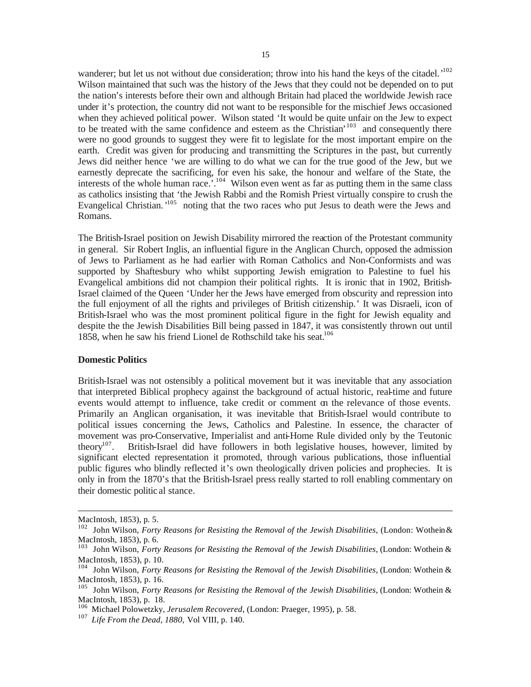wanderer; but let us not without due consideration; throw into his hand the keys of the citadel.<sup>102</sup> Wilson maintained that such was the history of the Jews that they could not be depended on to put the nation's interests before their own and although Britain had placed the worldwide Jewish race under it's protection, the country did not want to be responsible for the mischief Jews occasioned when they achieved political power. Wilson stated 'It would be quite unfair on the Jew to expect to be treated with the same confidence and esteem as the Christian'<sup>103</sup> and consequently there were no good grounds to suggest they were fit to legislate for the most important empire on the earth. Credit was given for producing and transmitting the Scriptures in the past, but currently Jews did neither hence 'we are willing to do what we can for the true good of the Jew, but we earnestly deprecate the sacrificing, for even his sake, the honour and welfare of the State, the interests of the whole human race.'*.* <sup>104</sup> Wilson even went as far as putting them in the same class as catholics insisting that 'the Jewish Rabbi and the Romish Priest virtually conspire to crush the Evangelical Christian.<sup>105</sup> noting that the two races who put Jesus to death were the Jews and Romans.

The British-Israel position on Jewish Disability mirrored the reaction of the Protestant community in general. Sir Robert Inglis, an influential figure in the Anglican Church, opposed the admission of Jews to Parliament as he had earlier with Roman Catholics and Non-Conformists and was supported by Shaftesbury who whilst supporting Jewish emigration to Palestine to fuel his Evangelical ambitions did not champion their political rights. It is ironic that in 1902, British-Israel claimed of the Queen 'Under her the Jews have emerged from obscurity and repression into the full enjoyment of all the rights and privileges of British citizenship.' It was Disraeli, icon of British-Israel who was the most prominent political figure in the fight for Jewish equality and despite the the Jewish Disabilities Bill being passed in 1847, it was consistently thrown out until 1858, when he saw his friend Lionel de Rothschild take his seat.<sup>106</sup>

#### **Domestic Politics**

British-Israel was not ostensibly a political movement but it was inevitable that any association that interpreted Biblical prophecy against the background of actual historic, real-time and future events would attempt to influence, take credit or comment on the relevance of those events. Primarily an Anglican organisation, it was inevitable that British-Israel would contribute to political issues concerning the Jews, Catholics and Palestine. In essence, the character of movement was pro-Conservative, Imperialist and anti-Home Rule divided only by the Teutonic<br>theory<sup>107</sup>. British-Israel did have followers in both legislative houses, however, limited by British-Israel did have followers in both legislative houses, however, limited by significant elected representation it promoted, through various publications, those influential public figures who blindly reflected it's own theologically driven policies and prophecies. It is only in from the 1870's that the British-Israel press really started to roll enabling commentary on their domestic politic al stance.

MacIntosh, 1853), p. 5.

<sup>102</sup> John Wilson, *Forty Reasons for Resisting the Removal of the Jewish Disabilities*, (London: Wothein & MacIntosh, 1853), p. 6.

<sup>103</sup> John Wilson, *Forty Reasons for Resisting the Removal of the Jewish Disabilities*, (London: Wothein & MacIntosh, 1853), p. 10.

<sup>104</sup> John Wilson, *Forty Reasons for Resisting the Removal of the Jewish Disabilities*, (London: Wothein & MacIntosh, 1853), p. 16.

<sup>105</sup> John Wilson, *Forty Reasons for Resisting the Removal of the Jewish Disabilities*, (London: Wothein & MacIntosh, 1853), p. 18.

<sup>106</sup> Michael Polowetzky, *Jerusalem Recovered*, (London: Praeger, 1995), p. 58.

<sup>107</sup> *Life From the Dead, 1880,* Vol VIII, p. 140.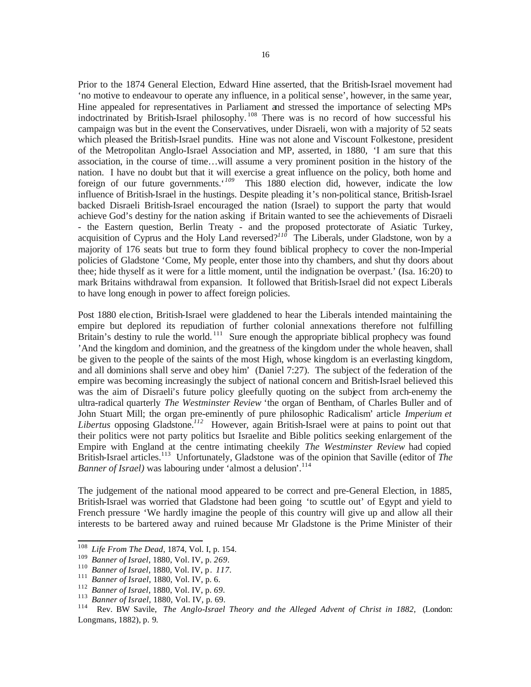Prior to the 1874 General Election, Edward Hine asserted, that the British-Israel movement had 'no motive to endeavour to operate any influence, in a political sense', however, in the same year, Hine appealed for representatives in Parliament and stressed the importance of selecting MPs indoctrinated by British-Israel philosophy. <sup>108</sup> There was is no record of how successful his campaign was but in the event the Conservatives, under Disraeli, won with a majority of 52 seats which pleased the British-Israel pundits. Hine was not alone and Viscount Folkestone, president of the Metropolitan Anglo-Israel Association and MP, asserted, in 1880, 'I am sure that this association, in the course of time…will assume a very prominent position in the history of the nation. I have no doubt but that it will exercise a great influence on the policy, both home and foreign of our future governments.' *<sup>109</sup>* This 1880 election did, however, indicate the low influence of British-Israel in the hustings. Despite pleading it's non-political stance, British-Israel backed Disraeli British-Israel encouraged the nation (Israel) to support the party that would achieve God's destiny for the nation asking if Britain wanted to see the achievements of Disraeli - the Eastern question, Berlin Treaty - and the proposed protectorate of Asiatic Turkey, acquisition of Cyprus and the Holy Land reversed?<sup>116</sup> The Liberals, under Gladstone, won by a majority of 176 seats but true to form they found biblical prophecy to cover the non-Imperial policies of Gladstone 'Come, My people, enter those into thy chambers, and shut thy doors about thee; hide thyself as it were for a little moment, until the indignation be overpast.' (Isa. 16:20) to mark Britains withdrawal from expansion. It followed that British-Israel did not expect Liberals to have long enough in power to affect foreign policies.

Post 1880 ele ction, British-Israel were gladdened to hear the Liberals intended maintaining the empire but deplored its repudiation of further colonial annexations therefore not fulfilling Britain's destiny to rule the world.  $\frac{1}{111}$  Sure enough the appropriate biblical prophecy was found 'And the kingdom and dominion, and the greatness of the kingdom under the whole heaven, shall be given to the people of the saints of the most High, whose kingdom is an everlasting kingdom, and all dominions shall serve and obey him' (Daniel 7:27). The subject of the federation of the empire was becoming increasingly the subject of national concern and British-Israel believed this was the aim of Disraeli's future policy gleefully quoting on the subject from arch-enemy the ultra-radical quarterly *The Westminster Review* 'the organ of Bentham, of Charles Buller and of John Stuart Mill; the organ pre-eminently of pure philosophic Radicalism' article *Imperium et Libertus* opposing Gladstone.*<sup>112</sup>* However, again British-Israel were at pains to point out that their politics were not party politics but Israelite and Bible politics seeking enlargement of the Empire with England at the centre intimating cheekily *The Westminster Review* had copied British-Israel articles.<sup>113</sup> Unfortunately, Gladstone was of the opinion that Saville (editor of *The Banner of Israel)* was labouring under 'almost a delusion'. 114

The judgement of the national mood appeared to be correct and pre-General Election, in 1885, British-Israel was worried that Gladstone had been going 'to scuttle out' of Egypt and yield to French pressure 'We hardly imagine the people of this country will give up and allow all their interests to be bartered away and ruined because Mr Gladstone is the Prime Minister of their

<sup>108</sup> Life From The Dead, 1874, Vol. I, p. 154.

<sup>109</sup> *Banner of Israel,* 1880, Vol. IV, p. *269.*

<sup>110</sup> *Banner of Israel,* 1880, Vol. IV, p. *117.*

<sup>111</sup> *Banner of Israel*, 1880, Vol. IV, p. 6.

<sup>112</sup> *Banner of Israel,* 1880, Vol. IV, p. *69.*

<sup>&</sup>lt;sup>113</sup> *Banner of Israel*, 1880, Vol. IV, p. 69.<br><sup>114</sup> **Bey BW Savile**, *The Anglo-Israel* 

<sup>114</sup> Rev. BW Savile, *The Anglo-Israel Theory and the Alleged Advent of Christ in 1882,* (London: Longmans, 1882), p. 9.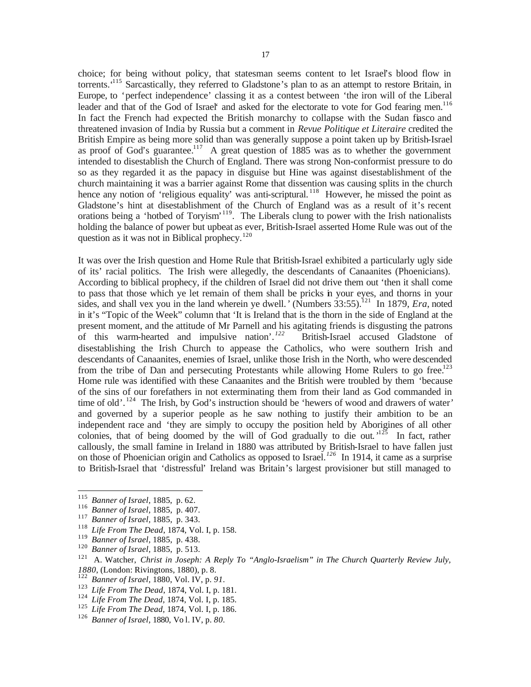choice; for being without policy, that statesman seems content to let Israel's blood flow in torrents.<sup>415</sup> Sarcastically, they referred to Gladstone's plan to as an attempt to restore Britain, in Europe, to 'perfect independence' classing it as a contest between 'the iron will of the Liberal leader and that of the God of Israel' and asked for the electorate to vote for God fearing men.<sup>116</sup> In fact the French had expected the British monarchy to collapse with the Sudan fiasco and threatened invasion of India by Russia but a comment in *Revue Politique et Literaire* credited the British Empire as being more solid than was generally suppose a point taken up by British-Israel as proof of God's guarantee.<sup>117</sup> A great question of 1885 was as to whether the government intended to disestablish the Church of England. There was strong Non-conformist pressure to do so as they regarded it as the papacy in disguise but Hine was against disestablishment of the church maintaining it was a barrier against Rome that dissention was causing splits in the church hence any notion of 'religious equality' was anti-scriptural.<sup>118</sup> However, he missed the point as Gladstone's hint at disestablishment of the Church of England was as a result of it's recent orations being a 'hotbed of Toryism'<sup>119</sup>. The Liberals clung to power with the Irish nationalists holding the balance of power but upbeat as ever, British-Israel asserted Home Rule was out of the question as it was not in Biblical prophecy.<sup>120</sup>

It was over the Irish question and Home Rule that British-Israel exhibited a particularly ugly side of its' racial politics. The Irish were allegedly, the descendants of Canaanites (Phoenicians). According to biblical prophecy, if the children of Israel did not drive them out 'then it shall come to pass that those which ye let remain of them shall be pricks in your eyes, and thorns in your sides, and shall vex you in the land wherein ye dwell.' (Numbers 33:55).<sup>121</sup> In 1879, *Era*, noted in it's "Topic of the Week" column that 'It is Ireland that is the thorn in the side of England at the present moment, and the attitude of Mr Parnell and his agitating friends is disgusting the patrons of this warm-hearted and impulsive nation'. *122* British-Israel accused Gladstone of disestablishing the Irish Church to appease the Catholics, who were southern Irish and descendants of Canaanites, enemies of Israel, unlike those Irish in the North, who were descended from the tribe of Dan and persecuting Protestants while allowing Home Rulers to go free.<sup>123</sup> Home rule was identified with these Canaanites and the British were troubled by them 'because of the sins of our forefathers in not exterminating them from their land as God commanded in time of old'. <sup>124</sup> The Irish, by God's instruction should be 'hewers of wood and drawers of water*'* and governed by a superior people as he saw nothing to justify their ambition to be an independent race and 'they are simply to occupy the position held by Aborigines of all other colonies, that of being doomed by the will of God gradually to die out.<sup> $125$ </sup> In fact, rather callously, the small famine in Ireland in 1880 was attributed by British-Israel to have fallen just on those of Phoenician origin and Catholics as opposed to Israel.*<sup>126</sup>* In 1914, it came as a surprise to British-Israel that 'distressful' Ireland was Britain's largest provisioner but still managed to

<sup>115</sup> <sup>115</sup> *Banner of Israel,* 1885, p. 62.

<sup>116</sup> *Banner of Israel,* 1885, p. 407.

<sup>117</sup> *Banner of Israel,* 1885, p. 343.

<sup>118</sup> *Life From The Dead*, 1874, Vol. I, p. 158.

<sup>119</sup> *Banner of Israel,* 1885, p. 438.

<sup>120</sup> *Banner of Israel,* 1885, p. 513.

<sup>&</sup>lt;sup>121</sup> A. Watcher, *Christ in Joseph: A Reply To "Anglo-Israelism" in The Church Quarterly Review July, 1880*, (London: Rivingtons, 1880), p. 8.

<sup>122</sup> *Banner of Israel,* 1880, Vol. IV, p. *91.*

<sup>123</sup> *Life From The Dead*, 1874, Vol. I, p. 181.

<sup>124</sup> *Life From The Dead,* 1874, Vol. I, p. 185.

<sup>125</sup> *Life From The Dead,* 1874, Vol. I, p. 186.

<sup>126</sup> *Banner of Israel,* 1880, Vo l. IV, p. *80.*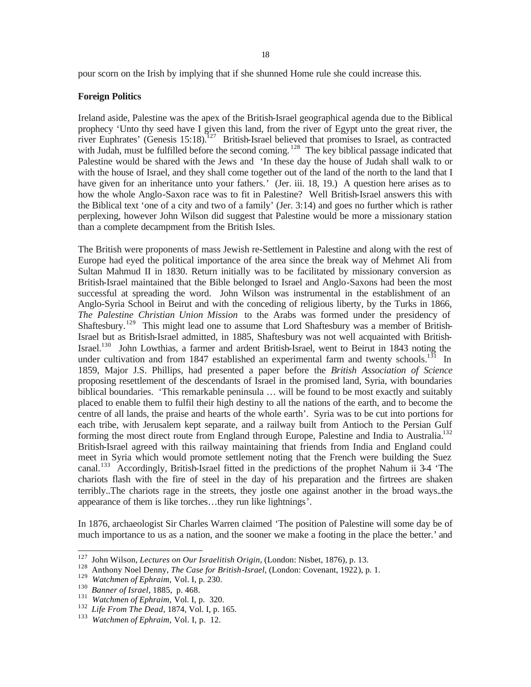pour scorn on the Irish by implying that if she shunned Home rule she could increase this.

#### **Foreign Politics**

Ireland aside, Palestine was the apex of the British-Israel geographical agenda due to the Biblical prophecy 'Unto thy seed have I given this land, from the river of Egypt unto the great river, the river Euphrates' (Genesis  $15:18$ ).<sup>127</sup> British-Israel believed that promises to Israel, as contracted with Judah, must be fulfilled before the second coming. <sup>128</sup> The key biblical passage indicated that Palestine would be shared with the Jews and 'In these day the house of Judah shall walk to or with the house of Israel, and they shall come together out of the land of the north to the land that I have given for an inheritance unto your fathers.' (Jer. iii. 18, 19.) A question here arises as to how the whole Anglo-Saxon race was to fit in Palestine? Well British-Israel answers this with the Biblical text 'one of a city and two of a family' (Jer. 3:14) and goes no further which is rather perplexing, however John Wilson did suggest that Palestine would be more a missionary station than a complete decampment from the British Isles.

The British were proponents of mass Jewish re-Settlement in Palestine and along with the rest of Europe had eyed the political importance of the area since the break way of Mehmet Ali from Sultan Mahmud II in 1830. Return initially was to be facilitated by missionary conversion as British-Israel maintained that the Bible belonged to Israel and Anglo-Saxons had been the most successful at spreading the word. John Wilson was instrumental in the establishment of an Anglo-Syria School in Beirut and with the conceding of religious liberty, by the Turks in 1866, *The Palestine Christian Union Mission* to the Arabs was formed under the presidency of Shaftesbury.<sup>129</sup> This might lead one to assume that Lord Shaftesbury was a member of British-Israel but as British-Israel admitted, in 1885, Shaftesbury was not well acquainted with British-Israel.<sup>130</sup> John Lowthias, a farmer and ardent British-Israel, went to Beirut in 1843 noting the under cultivation and from 1847 established an experimental farm and twenty schools.<sup>131</sup> In 1859, Major J.S. Phillips, had presented a paper before the *British Association of Science* proposing resettlement of the descendants of Israel in the promised land, Syria, with boundaries biblical boundaries. 'This remarkable peninsula … will be found to be most exactly and suitably placed to enable them to fulfil their high destiny to all the nations of the earth, and to become the centre of all lands, the praise and hearts of the whole earth'. Syria was to be cut into portions for each tribe, with Jerusalem kept separate, and a railway built from Antioch to the Persian Gulf forming the most direct route from England through Europe, Palestine and India to Australia.<sup>132</sup> British-Israel agreed with this railway maintaining that friends from India and England could meet in Syria which would promote settlement noting that the French were building the Suez canal.<sup>133</sup> Accordingly, British-Israel fitted in the predictions of the prophet Nahum ii 3-4 'The chariots flash with the fire of steel in the day of his preparation and the firtrees are shaken terribly..The chariots rage in the streets, they jostle one against another in the broad ways..the appearance of them is like torches…they run like lightnings'.

In 1876, archaeologist Sir Charles Warren claimed 'The position of Palestine will some day be of much importance to us as a nation, and the sooner we make a footing in the place the better.' and

<sup>127</sup> <sup>127</sup> John Wilson, *Lectures on Our Israelitish Origin*, (London: Nisbet, 1876), p. 13.

Anthony Noel Denny, *The Case for British-Israel*, (London: Covenant, 1922), p. 1.

<sup>129</sup> *Watchmen of Ephraim,* Vol. I, p. 230.

<sup>130</sup> *Banner of Israel,* 1885, p. 468.

<sup>&</sup>lt;sup>131</sup> *Watchmen of Ephraim, Vol. I, p. 320.* 

<sup>132</sup> *Life From The Dead*, 1874, Vol. I, p. 165.

<sup>133</sup> *Watchmen of Ephraim,* Vol. I, p. 12.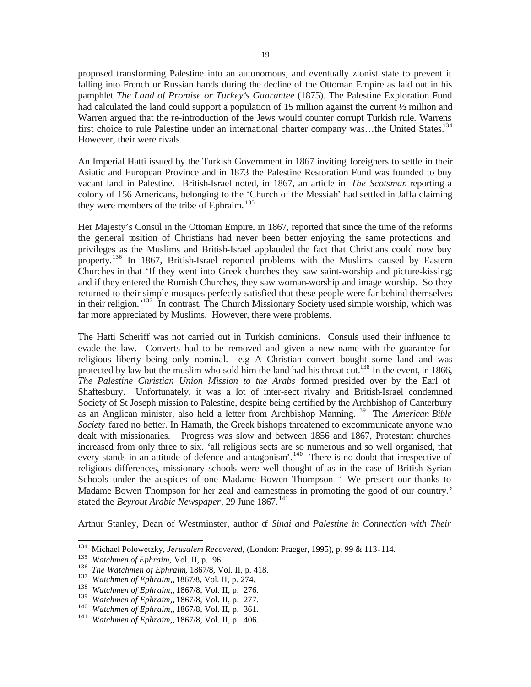proposed transforming Palestine into an autonomous, and eventually zionist state to prevent it falling into French or Russian hands during the decline of the Ottoman Empire as laid out in his pamphlet *The Land of Promise or Turkey's Guarantee* (1875). The Palestine Exploration Fund had calculated the land could support a population of 15 million against the current  $\frac{1}{2}$  million and Warren argued that the re-introduction of the Jews would counter corrupt Turkish rule. Warrens first choice to rule Palestine under an international charter company was...the United States.<sup>134</sup> However, their were rivals.

An Imperial Hatti issued by the Turkish Government in 1867 inviting foreigners to settle in their Asiatic and European Province and in 1873 the Palestine Restoration Fund was founded to buy vacant land in Palestine. British-Israel noted, in 1867, an article in *The Scotsman* reporting a colony of 156 Americans, belonging to the 'Church of the Messiah' had settled in Jaffa claiming they were members of the tribe of Ephraim. <sup>135</sup>

Her Majesty's Consul in the Ottoman Empire, in 1867, reported that since the time of the reforms the general position of Christians had never been better enjoying the same protections and privileges as the Muslims and British-Israel applauded the fact that Christians could now buy property.<sup>136</sup> In 1867, British-Israel reported problems with the Muslims caused by Eastern Churches in that 'If they went into Greek churches they saw saint-worship and picture-kissing; and if they entered the Romish Churches, they saw woman-worship and image worship. So they returned to their simple mosques perfectly satisfied that these people were far behind themselves in their religion.<sup>'137</sup> In contrast, The Church Missionary Society used simple worship, which was far more appreciated by Muslims. However, there were problems.

The Hatti Scheriff was not carried out in Turkish dominions. Consuls used their influence to evade the law. Converts had to be removed and given a new name with the guarantee for religious liberty being only nominal. e.g A Christian convert bought some land and was protected by law but the muslim who sold him the land had his throat cut.<sup>138</sup> In the event, in 1866, *The Palestine Christian Union Mission to the Arabs* formed presided over by the Earl of Shaftesbury. Unfortunately, it was a lot of inter-sect rivalry and British-Israel condemned Society of St Joseph mission to Palestine, despite being certified by the Archbishop of Canterbury as an Anglican minister, also held a letter from Archbishop Manning.<sup>139</sup> The *American Bible Society* fared no better. In Hamath, the Greek bishops threatened to excommunicate anyone who dealt with missionaries. Progress was slow and between 1856 and 1867, Protestant churches increased from only three to six. 'all religious sects are so numerous and so well organised, that every stands in an attitude of defence and antagonism'.<sup>140</sup> There is no doubt that irrespective of religious differences, missionary schools were well thought of as in the case of British Syrian Schools under the auspices of one Madame Bowen Thompson ' We present our thanks to Madame Bowen Thompson for her zeal and earnestness in promoting the good of our country.' stated the *Beyrout Arabic Newspaper*, 29 June 1867.<sup>141</sup>

Arthur Stanley, Dean of Westminster, author of *Sinai and Palestine in Connection with Their* 

<sup>134</sup> <sup>134</sup> Michael Polowetzky, *Jerusalem Recovered*, (London: Praeger, 1995), p. 99 & 113-114.

<sup>135</sup> *Watchmen of Ephraim, Vol. II, p. 96.*<br><sup>136</sup> *The Watchmen of Ephraim 1867/8 Ve* 

<sup>136</sup> *The Watchmen of Ephraim*, 1867/8, Vol. II, p. 418.

<sup>137</sup> *Watchmen of Ephraim,,* 1867/8, Vol. II, p. 274.

<sup>138</sup> *Watchmen of Ephraim,,* 1867/8, Vol. II, p. 276.

<sup>139</sup> *Watchmen of Ephraim,,* 1867/8, Vol. II, p. 277.

<sup>140</sup> *Watchmen of Ephraim,,* 1867/8, Vol. II, p. 361.

<sup>141</sup> *Watchmen of Ephraim,,* 1867/8, Vol. II, p. 406.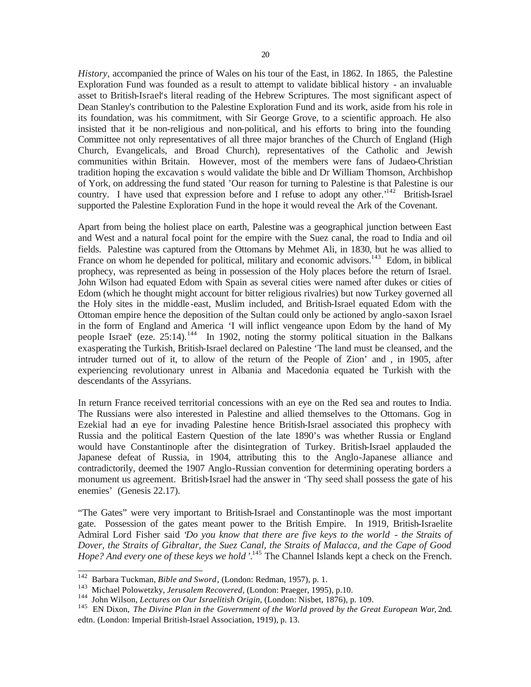*History,* accompanied the prince of Wales on his tour of the East, in 1862. In 1865, the Palestine Exploration Fund was founded as a result to attempt to validate biblical history - an invaluable asset to British-Israel's literal reading of the Hebrew Scriptures. The most significant aspect of Dean Stanley's contribution to the Palestine Exploration Fund and its work, aside from his role in its foundation, was his commitment, with Sir George Grove, to a scientific approach. He also insisted that it be non-religious and non-political, and his efforts to bring into the founding Committee not only representatives of all three major branches of the Church of England (High Church, Evangelicals, and Broad Church), representatives of the Catholic and Jewish communities within Britain. However, most of the members were fans of Judaeo-Christian tradition hoping the excavation s would validate the bible and Dr William Thomson, Archbishop of York, on addressing the fund stated 'Our reason for turning to Palestine is that Palestine is our country. I have used that expression before and I refuse to adopt any other.<sup>142</sup> British-Israel supported the Palestine Exploration Fund in the hope it would reveal the Ark of the Covenant.

Apart from being the holiest place on earth, Palestine was a geographical junction between East and West and a natural focal point for the empire with the Suez canal, the road to India and oil fields. Palestine was captured from the Ottomans by Mehmet Ali, in 1830, but he was allied to France on whom he depended for political, military and economic advisors.<sup>143</sup> Edom, in biblical prophecy, was represented as being in possession of the Holy places before the return of Israel. John Wilson had equated Edom with Spain as several cities were named after dukes or cities of Edom (which he thought might account for bitter religious rivalries) but now Turkey governed all the Holy sites in the middle -east, Muslim included, and British-Israel equated Edom with the Ottoman empire hence the deposition of the Sultan could only be actioned by anglo-saxon Israel in the form of England and America 'I will inflict vengeance upon Edom by the hand of My people Israel' (eze.  $25:14$ ).<sup>144</sup> In 1902, noting the stormy political situation in the Balkans exasperating the Turkish, British-Israel declared on Palestine 'The land must be cleansed, and the intruder turned out of it, to allow of the return of the People of Zion' and , in 1905, after experiencing revolutionary unrest in Albania and Macedonia equated the Turkish with the descendants of the Assyrians.

In return France received territorial concessions with an eye on the Red sea and routes to India. The Russians were also interested in Palestine and allied themselves to the Ottomans. Gog in Ezekial had an eye for invading Palestine hence British-Israel associated this prophecy with Russia and the political Eastern Question of the late 1890's was whether Russia or England would have Constantinople after the disintegration of Turkey. British-Israel applauded the Japanese defeat of Russia, in 1904, attributing this to the Anglo-Japanese alliance and contradictorily, deemed the 1907 Anglo-Russian convention for determining operating borders a monument us agreement. British-Israel had the answer in 'Thy seed shall possess the gate of his enemies' (Genesis 22.17).

"The Gates" were very important to British-Israel and Constantinople was the most important gate. Possession of the gates meant power to the British Empire. In 1919, British-Israelite Admiral Lord Fisher said '*Do you know that there are five keys to the world - the Straits of Dover, the Straits of Gibraltar, the Suez Canal, the Straits of Malacca, and the Cape of Good*  Hope? And every one of these keys we hold <sup>'</sup>.<sup>145</sup> The Channel Islands kept a check on the French.

<sup>142</sup> Barbara Tuckman, *Bible and Sword*, (London: Redman, 1957), p. 1.

<sup>143</sup> Michael Polowetzky, *Jerusalem Recovered*, (London: Praeger, 1995), p.10.

<sup>144</sup> John Wilson, *Lectures on Our Israelitish Origin*, (London: Nisbet, 1876), p. 109.

<sup>145</sup> EN Dixon, *The Divine Plan in the Government of the World proved by the Great European War*, 2nd. edtn. (London: Imperial British-Israel Association, 1919), p. 13.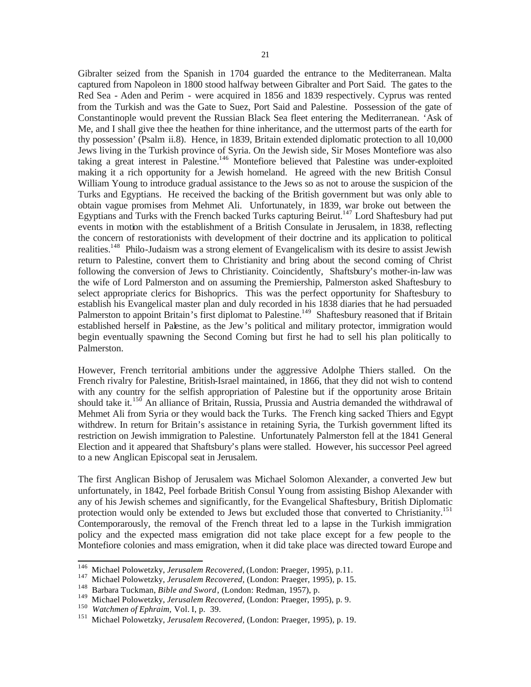Gibralter seized from the Spanish in 1704 guarded the entrance to the Mediterranean. Malta captured from Napoleon in 1800 stood halfway between Gibralter and Port Said. The gates to the Red Sea - Aden and Perim - were acquired in 1856 and 1839 respectively. Cyprus was rented from the Turkish and was the Gate to Suez, Port Said and Palestine. Possession of the gate of Constantinople would prevent the Russian Black Sea fleet entering the Mediterranean. 'Ask of Me, and I shall give thee the heathen for thine inheritance, and the uttermost parts of the earth for thy possession' (Psalm ii.8). Hence, in 1839, Britain extended diplomatic protection to all 10,000 Jews living in the Turkish province of Syria. On the Jewish side, Sir Moses Montefiore was also taking a great interest in Palestine.<sup>146</sup> Montefiore believed that Palestine was under-exploited making it a rich opportunity for a Jewish homeland. He agreed with the new British Consul William Young to introduce gradual assistance to the Jews so as not to arouse the suspicion of the Turks and Egyptians. He received the backing of the British government but was only able to obtain vague promises from Mehmet Ali. Unfortunately, in 1839, war broke out between the Egyptians and Turks with the French backed Turks capturing Beirut.<sup>147</sup> Lord Shaftesbury had put events in motion with the establishment of a British Consulate in Jerusalem, in 1838, reflecting the concern of restorationists with development of their doctrine and its application to political realities.<sup>148</sup> Philo-Judaism was a strong element of Evangelicalism with its desire to assist Jewish return to Palestine, convert them to Christianity and bring about the second coming of Christ following the conversion of Jews to Christianity. Coincidently, Shaftsbury's mother-in-law was the wife of Lord Palmerston and on assuming the Premiership, Palmerston asked Shaftesbury to select appropriate clerics for Bishoprics. This was the perfect opportunity for Shaftesbury to establish his Evangelical master plan and duly recorded in his 1838 diaries that he had persuaded Palmerston to appoint Britain's first diplomat to Palestine.<sup>149</sup> Shaftesbury reasoned that if Britain established herself in Palestine, as the Jew's political and military protector, immigration would begin eventually spawning the Second Coming but first he had to sell his plan politically to Palmerston.

However, French territorial ambitions under the aggressive Adolphe Thiers stalled. On the French rivalry for Palestine, British-Israel maintained, in 1866, that they did not wish to contend with any country for the selfish appropriation of Palestine but if the opportunity arose Britain should take it.<sup>150</sup> An alliance of Britain, Russia, Prussia and Austria demanded the withdrawal of Mehmet Ali from Syria or they would back the Turks. The French king sacked Thiers and Egypt withdrew. In return for Britain's assistance in retaining Syria, the Turkish government lifted its restriction on Jewish immigration to Palestine. Unfortunately Palmerston fell at the 1841 General Election and it appeared that Shaftsbury's plans were stalled. However, his successor Peel agreed to a new Anglican Episcopal seat in Jerusalem.

The first Anglican Bishop of Jerusalem was Michael Solomon Alexander, a converted Jew but unfortunately, in 1842, Peel forbade British Consul Young from assisting Bishop Alexander with any of his Jewish schemes and significantly, for the Evangelical Shaftesbury, British Diplomatic protection would only be extended to Jews but excluded those that converted to Christianity.<sup>151</sup> Contemporarously, the removal of the French threat led to a lapse in the Turkish immigration policy and the expected mass emigration did not take place except for a few people to the Montefiore colonies and mass emigration, when it did take place was directed toward Europe and

<sup>146</sup> <sup>146</sup> Michael Polowetzky, *Jerusalem Recovered*, (London: Praeger, 1995), p.11.

<sup>147</sup> Michael Polowetzky, *Jerusalem Recovered*, (London: Praeger, 1995), p. 15.

<sup>148</sup> Barbara Tuckman, *Bible and Sword*, (London: Redman, 1957), p.

<sup>149</sup> Michael Polowetzky, *Jerusalem Recovered*, (London: Praeger, 1995), p. 9.

<sup>150</sup> *Watchmen of Ephraim,* Vol. I, p. 39.

<sup>151</sup> Michael Polowetzky, *Jerusalem Recovered*, (London: Praeger, 1995), p. 19.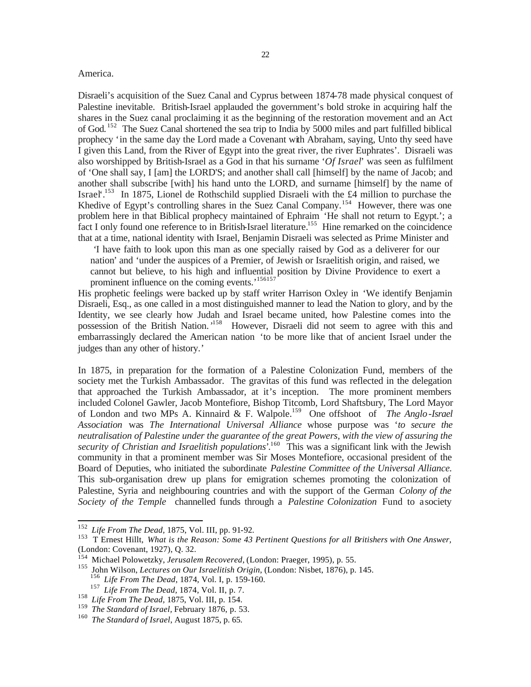#### America.

Disraeli's acquisition of the Suez Canal and Cyprus between 1874-78 made physical conquest of Palestine inevitable. British-Israel applauded the government's bold stroke in acquiring half the shares in the Suez canal proclaiming it as the beginning of the restoration movement and an Act of God. <sup>152</sup> The Suez Canal shortened the sea trip to India by 5000 miles and part fulfilled biblical prophecy 'in the same day the Lord made a Covenant with Abraham, saying, Unto thy seed have I given this Land, from the River of Egypt into the great river, the river Euphrates'. Disraeli was also worshipped by British-Israel as a God in that his surname '*Of Israel*' was seen as fulfilment of 'One shall say, I [am] the LORD'S; and another shall call [himself] by the name of Jacob; and another shall subscribe [with] his hand unto the LORD, and surname [himself] by the name of Israel'.<sup>153</sup> In 1875, Lionel de Rothschild supplied Disraeli with the £4 million to purchase the Khedive of Egypt's controlling shares in the Suez Canal Company.<sup>154</sup> However, there was one problem here in that Biblical prophecy maintained of Ephraim 'He shall not return to Egypt.'; a fact I only found one reference to in British-Israel literature.<sup>155</sup> Hine remarked on the coincidence that at a time, national identity with Israel, Benjamin Disraeli was selected as Prime Minister and

*'*I have faith to look upon this man as one specially raised by God as a deliverer for our nation' and 'under the auspices of a Premier, of Jewish or Israelitish origin, and raised, we cannot but believe, to his high and influential position by Divine Providence to exert a prominent influence on the coming events.'<sup>156157</sup>

His prophetic feelings were backed up by staff writer Harrison Oxley in 'We identify Benjamin Disraeli, Esq., as one called in a most distinguished manner to lead the Nation to glory, and by the Identity, we see clearly how Judah and Israel became united, how Palestine comes into the possession of the British Nation.<sup>158</sup> However, Disraeli did not seem to agree with this and embarrassingly declared the American nation 'to be more like that of ancient Israel under the judges than any other of history.'

In 1875, in preparation for the formation of a Palestine Colonization Fund, members of the society met the Turkish Ambassador. The gravitas of this fund was reflected in the delegation that approached the Turkish Ambassador, at it's inception. The more prominent members included Colonel Gawler, Jacob Montefiore, Bishop Titcomb, Lord Shaftsbury, The Lord Mayor of London and two MPs A. Kinnaird & F. Walpole.<sup>159</sup> One offshoot of *The Anglo-Israel Association* was *The International Universal Alliance* whose purpose was '*to secure the neutralisation of Palestine under the guarantee of the great Powers, with the view of assuring the*  security of Christian and Israelitish populations<sup>'.160</sup> This was a significant link with the Jewish community in that a prominent member was Sir Moses Montefiore, occasional president of the Board of Deputies, who initiated the subordinate *Palestine Committee of the Universal Alliance.*  This sub-organisation drew up plans for emigration schemes promoting the colonization of Palestine, Syria and neighbouring countries and with the support of the German *Colony of the Society of the Temple* channelled funds through a *Palestine Colonization* Fund to a society

<sup>152</sup> *Life From The Dead,* 1875, Vol. III, pp. 91-92.

<sup>153</sup> T Ernest Hillt, *What is the Reason: Some 43 Pertinent Questions for all Britishers with One Answer,*  (London: Covenant, 1927), Q. 32.

<sup>154</sup> Michael Polowetzky, *Jerusalem Recovered*, (London: Praeger, 1995), p. 55.

<sup>155</sup> John Wilson, *Lectures on Our Israelitish Origin*, (London: Nisbet, 1876), p. 145.

<sup>156</sup> *Life From The Dead*, 1874, Vol. I, p. 159-160.

<sup>157</sup> *Life From The Dead,* 1874, Vol. II, p. 7.

<sup>158</sup> *Life From The Dead,* 1875, Vol. III, p. 154.

<sup>159</sup> *The Standard of Israel,* February 1876, p. 53.

<sup>160</sup> *The Standard of Israel*, August 1875, p. 65.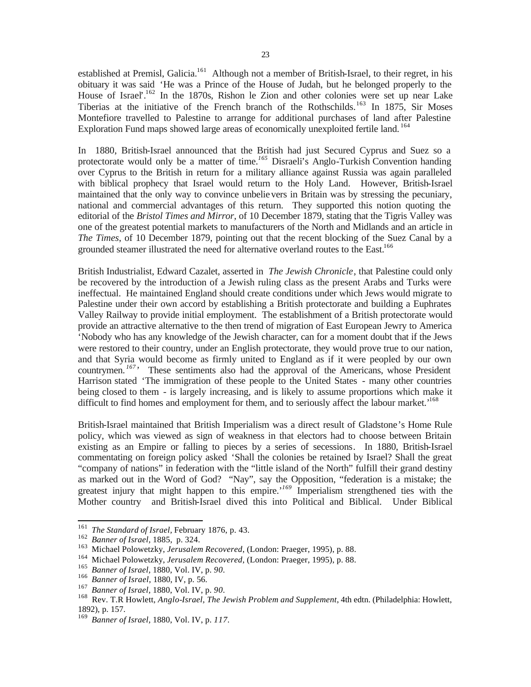established at Premisl, Galicia.<sup>161</sup> Although not a member of British-Israel, to their regret, in his obituary it was said 'He was a Prince of the House of Judah, but he belonged properly to the House of Israel'<sup>162</sup> In the 1870s, Rishon le Zion and other colonies were set up near Lake Tiberias at the initiative of the French branch of the Rothschilds.<sup>163</sup> In 1875, Sir Moses Montefiore travelled to Palestine to arrange for additional purchases of land after Palestine Exploration Fund maps showed large areas of economically unexploited fertile land. <sup>164</sup>

In 1880, British-Israel announced that the British had just Secured Cyprus and Suez so a protectorate would only be a matter of time.<sup>165</sup> Disraeli's Anglo-Turkish Convention handing over Cyprus to the British in return for a military alliance against Russia was again paralleled with biblical prophecy that Israel would return to the Holy Land. However, British-Israel maintained that the only way to convince unbelievers in Britain was by stressing the pecuniary, national and commercial advantages of this return. They supported this notion quoting the editorial of the *Bristol Times and Mirror*, of 10 December 1879, stating that the Tigris Valley was one of the greatest potential markets to manufacturers of the North and Midlands and an article in *The Times*, of 10 December 1879, pointing out that the recent blocking of the Suez Canal by a grounded steamer illustrated the need for alternative overland routes to the East.<sup>166</sup>

British Industrialist, Edward Cazalet, asserted in *The Jewish Chronicle*, that Palestine could only be recovered by the introduction of a Jewish ruling class as the present Arabs and Turks were ineffectual. He maintained England should create conditions under which Jews would migrate to Palestine under their own accord by establishing a British protectorate and building a Euphrates Valley Railway to provide initial employment. The establishment of a British protectorate would provide an attractive alternative to the then trend of migration of East European Jewry to America 'Nobody who has any knowledge of the Jewish character, can for a moment doubt that if the Jews were restored to their country, under an English protectorate, they would prove true to our nation, and that Syria would become as firmly united to England as if it were peopled by our own countrymen.<sup>167</sup><sup>,</sup> These sentiments also had the approval of the Americans, whose President Harrison stated 'The immigration of these people to the United States - many other countries being closed to them - is largely increasing, and is likely to assume proportions which make it difficult to find homes and employment for them, and to seriously affect the labour market.<sup>168</sup>

British-Israel maintained that British Imperialism was a direct result of Gladstone's Home Rule policy, which was viewed as sign of weakness in that electors had to choose between Britain existing as an Empire or falling to pieces by a series of secessions. In 1880, British-Israel commentating on foreign policy asked 'Shall the colonies be retained by Israel? Shall the great "company of nations" in federation with the "little island of the North" fulfill their grand destiny as marked out in the Word of God? "Nay", say the Opposition, "federation is a mistake; the greatest injury that might happen to this empire.<sup>'169</sup> Imperialism strengthened ties with the Mother country and British-Israel dived this into Political and Biblical. Under Biblical

<sup>161</sup> *The Standard of Israel,* February 1876, p. 43.

<sup>162</sup> *Banner of Israel,* 1885, p. 324.

<sup>163</sup> Michael Polowetzky, *Jerusalem Recovered*, (London: Praeger, 1995), p. 88.

<sup>164</sup> Michael Polowetzky, *Jerusalem Recovered*, (London: Praeger, 1995), p. 88.

<sup>165</sup> *Banner of Israel,* 1880, Vol. IV, p. *90.*

<sup>166</sup> *Banner of Israel*, 1880, IV, p. 56.

<sup>167</sup> *Banner of Israel,* 1880, Vol. IV, p. *90.*

<sup>168</sup> Rev. T.R Howlett, *Anglo-Israel, The Jewish Problem and Supplement*, 4th edtn. (Philadelphia: Howlett, 1892), p. 157.

<sup>169</sup> *Banner of Israel,* 1880, Vol. IV, p. *117.*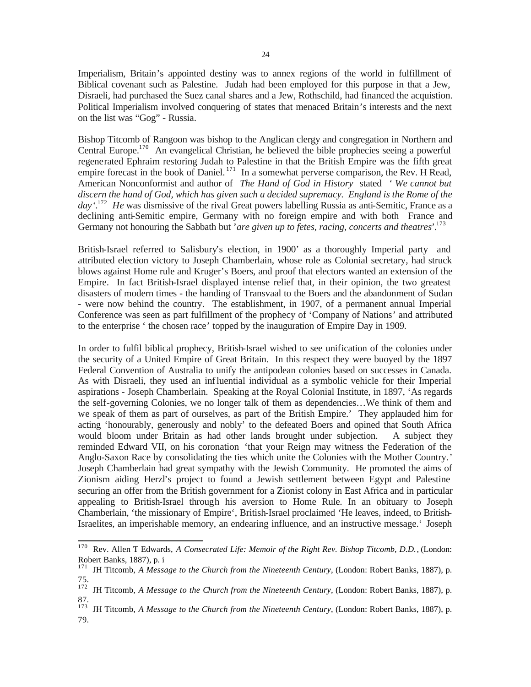Imperialism, Britain's appointed destiny was to annex regions of the world in fulfillment of Biblical covenant such as Palestine. Judah had been employed for this purpose in that a Jew, Disraeli, had purchased the Suez canal shares and a Jew, Rothschild, had financed the acquistion. Political Imperialism involved conquering of states that menaced Britain's interests and the next on the list was "Gog" - Russia.

Bishop Titcomb of Rangoon was bishop to the Anglican clergy and congregation in Northern and Central Europe.<sup>170</sup> An evangelical Christian, he believed the bible prophecies seeing a powerful regenerated Ephraim restoring Judah to Palestine in that the British Empire was the fifth great empire forecast in the book of Daniel.<sup>171</sup> In a somewhat perverse comparison, the Rev. H Read, American Nonconformist and author of *The Hand of God in History* stated *' We cannot but discern the hand of God, which has given such a decided supremacy. England is the Rome of the day'.* <sup>172</sup> *He* was dismissive of the rival Great powers labelling Russia as anti-Semitic, France as a declining anti-Semitic empire, Germany with no foreign empire and with both France and Germany not honouring the Sabbath but '*are given up to fetes, racing, concerts and theatres*'. 173

British-Israel referred to Salisbury's election, in 1900' as a thoroughly Imperial party and attributed election victory to Joseph Chamberlain, whose role as Colonial secretary, had struck blows against Home rule and Kruger's Boers, and proof that electors wanted an extension of the Empire. In fact British-Israel displayed intense relief that, in their opinion, the two greatest disasters of modern times - the handing of Transvaal to the Boers and the abandonment of Sudan - were now behind the country. The establishment, in 1907, of a permanent annual Imperial Conference was seen as part fulfillment of the prophecy of 'Company of Nations' and attributed to the enterprise ' the chosen race' topped by the inauguration of Empire Day in 1909.

In order to fulfil biblical prophecy, British-Israel wished to see unification of the colonies under the security of a United Empire of Great Britain. In this respect they were buoyed by the 1897 Federal Convention of Australia to unify the antipodean colonies based on successes in Canada. As with Disraeli, they used an influential individual as a symbolic vehicle for their Imperial aspirations - Joseph Chamberlain. Speaking at the Royal Colonial Institute, in 1897, 'As regards the self-governing Colonies, we no longer talk of them as dependencies…We think of them and we speak of them as part of ourselves, as part of the British Empire.' They applauded him for acting 'honourably, generously and nobly' to the defeated Boers and opined that South Africa would bloom under Britain as had other lands brought under subjection. A subject they reminded Edward VII, on his coronation 'that your Reign may witness the Federation of the Anglo-Saxon Race by consolidating the ties which unite the Colonies with the Mother Country.' Joseph Chamberlain had great sympathy with the Jewish Community. He promoted the aims of Zionism aiding Herzl's project to found a Jewish settlement between Egypt and Palestine securing an offer from the British government for a Zionist colony in East Africa and in particular appealing to British-Israel through his aversion to Home Rule. In an obituary to Joseph Chamberlain, 'the missionary of Empire', British-Israel proclaimed 'He leaves, indeed, to British-Israelites, an imperishable memory, an endearing influence, and an instructive message.' Joseph

<sup>170</sup> Rev. Allen T Edwards, *A Consecrated Life: Memoir of the Right Rev. Bishop Titcomb, D.D.*, (London: Robert Banks, 1887), p. i

<sup>&</sup>lt;sup>171</sup> JH Titcomb, *A Message to the Church from the Nineteenth Century*, (London: Robert Banks, 1887), p. 75.

<sup>172</sup> JH Titcomb, *A Message to the Church from the Nineteenth Century*, (London: Robert Banks, 1887), p. 87.

<sup>&</sup>lt;sup>173</sup> JH Titcomb, *A Message to the Church from the Nineteenth Century*, (London: Robert Banks, 1887), p. 79.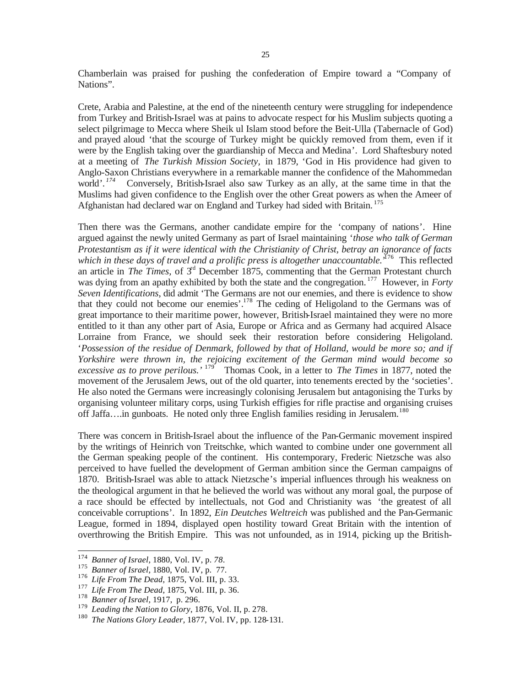Chamberlain was praised for pushing the confederation of Empire toward a "Company of Nations".

Crete, Arabia and Palestine, at the end of the nineteenth century were struggling for independence from Turkey and British-Israel was at pains to advocate respect for his Muslim subjects quoting a select pilgrimage to Mecca where Sheik ul Islam stood before the Beit-Ulla (Tabernacle of God) and prayed aloud 'that the scourge of Turkey might be quickly removed from them, even if it were by the English taking over the guardianship of Mecca and Medina'. Lord Shaftesbury noted at a meeting of *The Turkish Mission Society,* in 1879, *'*God in His providence had given to Anglo-Saxon Christians everywhere in a remarkable manner the confidence of the Mahommedan world'*. 174* Conversely, British-Israel also saw Turkey as an ally, at the same time in that the Muslims had given confidence to the English over the other Great powers as when the Ameer of Afghanistan had declared war on England and Turkey had sided with Britain.<sup>175</sup>

Then there was the Germans, another candidate empire for the 'company of nations'. Hine argued against the newly united Germany as part of Israel maintaining '*those who talk of German Protestantism as if it were identical with the Christianity of Christ, betray an ignorance of facts*  which in these days of travel and a prolific press is altogether unaccountable.<sup>, 176</sup> This reflected an article in *The Times*, of 3<sup>rd</sup> December 1875, commenting that the German Protestant church was dying from an apathy exhibited by both the state and the congregation.<sup>177</sup> However, in *Forty Seven Identifications*, did admit 'The Germans are not our enemies, and there is evidence to show that they could not become our enemies'. <sup>178</sup> The ceding of Heligoland to the Germans was of great importance to their maritime power, however, British-Israel maintained they were no more entitled to it than any other part of Asia, Europe or Africa and as Germany had acquired Alsace Lorraine from France, we should seek their restoration before considering Heligoland. '*Possession of the residue of Denmark, followed by that of Holland, would be more so; and if Yorkshire were thrown in, the rejoicing excitement of the German mind would become so* excessive as to prove perilous.<sup>' 179</sup> Thomas Cook, in a letter to *The Times* in 1877, noted the movement of the Jerusalem Jews, out of the old quarter, into tenements erected by the 'societies'. He also noted the Germans were increasingly colonising Jerusalem but antagonising the Turks by organising volunteer military corps, using Turkish effigies for rifle practise and organising cruises off Jaffa….in gunboats. He noted only three English families residing in Jerusalem.<sup>180</sup>

There was concern in British-Israel about the influence of the Pan-Germanic movement inspired by the writings of Heinrich von Treitschke, which wanted to combine under one government all the German speaking people of the continent. His contemporary, Frederic Nietzsche was also perceived to have fuelled the development of German ambition since the German campaigns of 1870. British-Israel was able to attack Nietzsche's imperial influences through his weakness on the theological argument in that he believed the world was without any moral goal, the purpose of a race should be effected by intellectuals, not God and Christianity was 'the greatest of all conceivable corruptions'. In 1892, *Ein Deutches Weltreich* was published and the Pan-Germanic League, formed in 1894, displayed open hostility toward Great Britain with the intention of overthrowing the British Empire. This was not unfounded, as in 1914, picking up the British-

<sup>174</sup> <sup>174</sup> *Banner of Israel,* 1880, Vol. IV, p. *78.*

<sup>175</sup> *Banner of Israel,* 1880, Vol. IV, p. 77.

<sup>176</sup> *Life From The Dead,* 1875, Vol. III, p. 33.

<sup>177</sup> *Life From The Dead,* 1875, Vol. III, p. 36.

<sup>178</sup> *Banner of Israel,* 1917, p. 296.

<sup>179</sup> *Leading the Nation to Glory*, 1876, Vol. II, p. 278.

<sup>180</sup> *The Nations Glory Leader,* 1877, Vol. IV, pp. 128-131.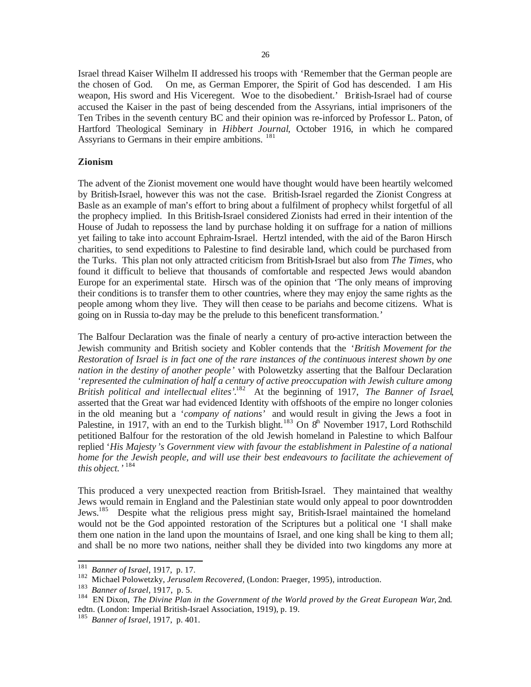Israel thread Kaiser Wilhelm II addressed his troops with 'Remember that the German people are the chosen of God. On me, as German Emporer, the Spirit of God has descended. I am His weapon, His sword and His Viceregent. Woe to the disobedient.' British-Israel had of course accused the Kaiser in the past of being descended from the Assyrians, intial imprisoners of the Ten Tribes in the seventh century BC and their opinion was re-inforced by Professor L. Paton, of Hartford Theological Seminary in *Hibbert Journal*, October 1916, in which he compared Assyrians to Germans in their empire ambitions.<sup>181</sup>

# **Zionism**

The advent of the Zionist movement one would have thought would have been heartily welcomed by British-Israel, however this was not the case. British-Israel regarded the Zionist Congress at Basle as an example of man's effort to bring about a fulfilment of prophecy whilst forgetful of all the prophecy implied. In this British-Israel considered Zionists had erred in their intention of the House of Judah to repossess the land by purchase holding it on suffrage for a nation of millions yet failing to take into account Ephraim-Israel. Hertzl intended, with the aid of the Baron Hirsch charities, to send expeditions to Palestine to find desirable land, which could be purchased from the Turks. This plan not only attracted criticism from British-Israel but also from *The Times*, who found it difficult to believe that thousands of comfortable and respected Jews would abandon Europe for an experimental state. Hirsch was of the opinion that 'The only means of improving their conditions is to transfer them to other countries, where they may enjoy the same rights as the people among whom they live. They will then cease to be pariahs and become citizens. What is going on in Russia to-day may be the prelude to this beneficent transformation.'

The Balfour Declaration was the finale of nearly a century of pro-active interaction between the Jewish community and British society and Kobler contends that the '*British Movement for the Restoration of Israel is in fact one of the rare instances of the continuous interest shown by one nation in the destiny of another people'* with Polowetzky asserting that the Balfour Declaration '*represented the culmination of half a century of active preoccupation with Jewish culture among British political and intellectual elites'*. <sup>182</sup> At the beginning of 1917, *The Banner of Israel*, asserted that the Great war had evidenced Identity with offshoots of the empire no longer colonies in the old meaning but a '*company of nations'* and would result in giving the Jews a foot in Palestine, in 1917, with an end to the Turkish blight.<sup>183</sup> On  $8<sup>th</sup>$  November 1917, Lord Rothschild petitioned Balfour for the restoration of the old Jewish homeland in Palestine to which Balfour replied '*His Majesty 's Government view with favour the establishment in Palestine of a national home for the Jewish people, and will use their best endeavours to facilitate the achievement of this object.'* 184

This produced a very unexpected reaction from British-Israel. They maintained that wealthy Jews would remain in England and the Palestinian state would only appeal to poor downtrodden Jews.<sup>185</sup> Despite what the religious press might say, British-Israel maintained the homeland would not be the God appointed restoration of the Scriptures but a political one 'I shall make them one nation in the land upon the mountains of Israel, and one king shall be king to them all; and shall be no more two nations, neither shall they be divided into two kingdoms any more at

 $1\,8\,1$ <sup>181</sup> *Banner of Israel,* 1917, p. 17.

<sup>182</sup> Michael Polowetzky, *Jerusalem Recovered*, (London: Praeger, 1995), introduction.

<sup>183</sup> *Banner of Israel,* 1917, p. 5.

<sup>184</sup> EN Dixon, *The Divine Plan in the Government of the World proved by the Great European War*, 2nd. edtn. (London: Imperial British-Israel Association, 1919), p. 19.

<sup>185</sup> *Banner of Israel,* 1917, p. 401.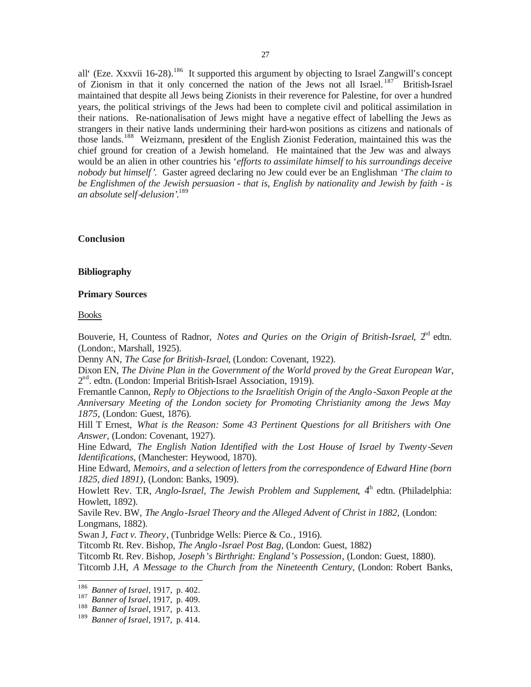all' (Eze. Xxxvii 16-28).<sup>186</sup> It supported this argument by objecting to Israel Zangwill's concept of Zionism in that it only concerned the nation of the Jews not all Israel.<sup>187</sup> British-Israel maintained that despite all Jews being Zionists in their reverence for Palestine, for over a hundred years, the political strivings of the Jews had been to complete civil and political assimilation in their nations. Re-nationalisation of Jews might have a negative effect of labelling the Jews as strangers in their native lands undermining their hard-won positions as citizens and nationals of those lands.<sup>188</sup> Weizmann, president of the English Zionist Federation, maintained this was the chief ground for creation of a Jewish homeland. He maintained that the Jew was and always would be an alien in other countries his '*efforts to assimilate himself to his surroundings deceive nobody but himself'.* Gaster agreed declaring no Jew could ever be an Englishman '*The claim to be Englishmen of the Jewish persuasion - that is, English by nationality and Jewish by faith - is an absolute self-delusion'.* 189

# **Conclusion**

#### **Bibliography**

#### **Primary Sources**

#### Books

Bouverie, H, Countess of Radnor, *Notes and Quries on the Origin of British-Israel*,  $2<sup>nd</sup>$  edtn. (London:, Marshall, 1925).

Denny AN, *The Case for British-Israel*, (London: Covenant, 1922).

Dixon EN, *The Divine Plan in the Government of the World proved by the Great European War*, 2<sup>nd</sup>. edtn. (London: Imperial British-Israel Association, 1919).

Fremantle Cannon, *Reply to Objections to the Israelitish Origin of the Anglo -Saxon People at the Anniversary Meeting of the London society for Promoting Christianity among the Jews May 1875,* (London: Guest, 1876).

Hill T Ernest, *What is the Reason: Some 43 Pertinent Questions for all Britishers with One Answer,* (London: Covenant, 1927).

Hine Edward, *The English Nation Identified with the Lost House of Israel by Twenty -Seven Identifications,* (Manchester: Heywood, 1870).

Hine Edward, *Memoirs, and a selection of letters from the correspondence of Edward Hine (born 1825, died 1891),* (London: Banks, 1909).

Howlett Rev. T.R, *Anglo-Israel, The Jewish Problem and Supplement*, 4<sup>th</sup> edtn. (Philadelphia: Howlett, 1892).

Savile Rev. BW, *The Anglo-Israel Theory and the Alleged Advent of Christ in 1882*, (London: Longmans, 1882).

Swan J, *Fact v. Theory*, (Tunbridge Wells: Pierce & Co., 1916).

Titcomb Rt. Rev. Bishop, *The Anglo-Israel Post Bag,* (London: Guest, 1882)

Titcomb Rt. Rev. Bishop, *Joseph's Birthright: England's Possession*, (London: Guest, 1880).

Titcomb J.H, *A Message to the Church from the Nineteenth Century*, (London: Robert Banks,

<sup>186</sup> *Banner of Israel,* 1917, p. 402.

<sup>187</sup> *Banner of Israel,* 1917, p. 409.

<sup>188</sup> *Banner of Israel,* 1917, p. 413.

<sup>189</sup> *Banner of Israel,* 1917, p. 414.